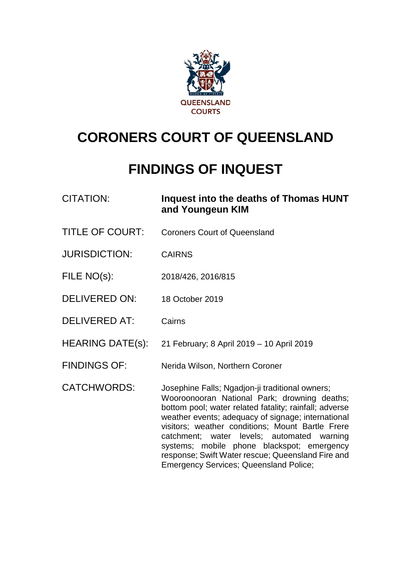

# **CORONERS COURT OF QUEENSLAND**

# **FINDINGS OF INQUEST**

| <b>CITATION:</b>        | Inquest into the deaths of Thomas HUNT<br>and Youngeun KIM                                                                                                                                                                                                                                                                                                                                                                                                            |
|-------------------------|-----------------------------------------------------------------------------------------------------------------------------------------------------------------------------------------------------------------------------------------------------------------------------------------------------------------------------------------------------------------------------------------------------------------------------------------------------------------------|
| <b>TITLE OF COURT:</b>  | <b>Coroners Court of Queensland</b>                                                                                                                                                                                                                                                                                                                                                                                                                                   |
| <b>JURISDICTION:</b>    | <b>CAIRNS</b>                                                                                                                                                                                                                                                                                                                                                                                                                                                         |
| FILE NO(s):             | 2018/426, 2016/815                                                                                                                                                                                                                                                                                                                                                                                                                                                    |
| <b>DELIVERED ON:</b>    | 18 October 2019                                                                                                                                                                                                                                                                                                                                                                                                                                                       |
| <b>DELIVERED AT:</b>    | Cairns                                                                                                                                                                                                                                                                                                                                                                                                                                                                |
| <b>HEARING DATE(s):</b> | 21 February; 8 April 2019 - 10 April 2019                                                                                                                                                                                                                                                                                                                                                                                                                             |
| <b>FINDINGS OF:</b>     | Nerida Wilson, Northern Coroner                                                                                                                                                                                                                                                                                                                                                                                                                                       |
| <b>CATCHWORDS:</b>      | Josephine Falls; Ngadjon-ji traditional owners;<br>Wooroonooran National Park; drowning deaths;<br>bottom pool; water related fatality; rainfall; adverse<br>weather events; adequacy of signage; international<br>visitors; weather conditions; Mount Bartle Frere<br>catchment; water levels; automated warning<br>systems; mobile phone blackspot; emergency<br>response; Swift Water rescue; Queensland Fire and<br><b>Emergency Services; Queensland Police;</b> |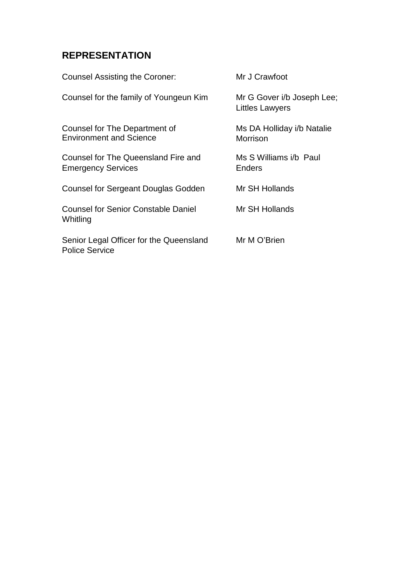# **REPRESENTATION**

| <b>Counsel Assisting the Coroner:</b>                            | Mr J Crawfoot                                        |
|------------------------------------------------------------------|------------------------------------------------------|
| Counsel for the family of Youngeun Kim                           | Mr G Gover i/b Joseph Lee;<br><b>Littles Lawyers</b> |
| Counsel for The Department of<br><b>Environment and Science</b>  | Ms DA Holliday i/b Natalie<br>Morrison               |
| Counsel for The Queensland Fire and<br><b>Emergency Services</b> | Ms S Williams i/b Paul<br><b>Enders</b>              |
| <b>Counsel for Sergeant Douglas Godden</b>                       | Mr SH Hollands                                       |
| <b>Counsel for Senior Constable Daniel</b><br>Whitling           | Mr SH Hollands                                       |
| Senior Legal Officer for the Queensland<br><b>Police Service</b> | Mr M O'Brien                                         |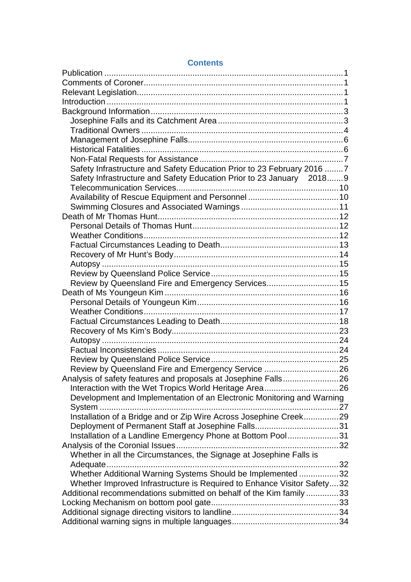| Safety Infrastructure and Safety Education Prior to 23 February 2016 7  |  |
|-------------------------------------------------------------------------|--|
| Safety Infrastructure and Safety Education Prior to 23 January 2018 9   |  |
|                                                                         |  |
|                                                                         |  |
|                                                                         |  |
|                                                                         |  |
|                                                                         |  |
|                                                                         |  |
|                                                                         |  |
|                                                                         |  |
|                                                                         |  |
|                                                                         |  |
| Review by Queensland Fire and Emergency Services 15                     |  |
|                                                                         |  |
|                                                                         |  |
|                                                                         |  |
|                                                                         |  |
|                                                                         |  |
|                                                                         |  |
|                                                                         |  |
|                                                                         |  |
| Review by Queensland Fire and Emergency Service  26                     |  |
| Analysis of safety features and proposals at Josephine Falls26          |  |
|                                                                         |  |
| Development and Implementation of an Electronic Monitoring and Warning  |  |
|                                                                         |  |
| Installation of a Bridge and or Zip Wire Across Josephine Creek29       |  |
|                                                                         |  |
| Installation of a Landline Emergency Phone at Bottom Pool31             |  |
|                                                                         |  |
| Whether in all the Circumstances, the Signage at Josephine Falls is     |  |
|                                                                         |  |
| Whether Additional Warning Systems Should be Implemented 32             |  |
| Whether Improved Infrastructure is Required to Enhance Visitor Safety32 |  |
| Additional recommendations submitted on behalf of the Kim family 33     |  |
|                                                                         |  |
|                                                                         |  |
|                                                                         |  |

#### **Contents**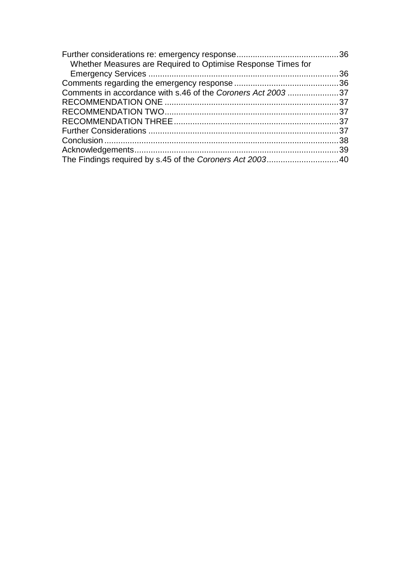| Whether Measures are Required to Optimise Response Times for |  |
|--------------------------------------------------------------|--|
|                                                              |  |
|                                                              |  |
| Comments in accordance with s.46 of the Coroners Act 2003 37 |  |
|                                                              |  |
|                                                              |  |
|                                                              |  |
|                                                              |  |
|                                                              |  |
|                                                              |  |
|                                                              |  |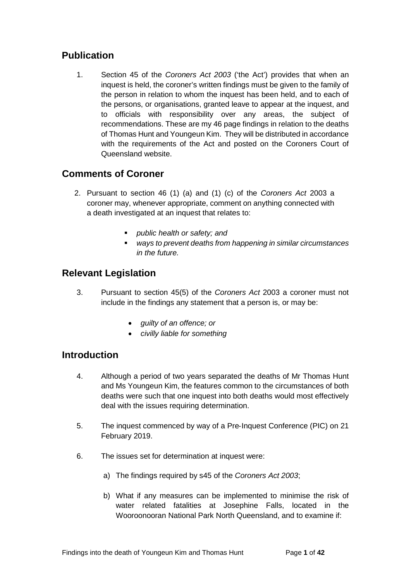# <span id="page-4-0"></span>**Publication**

1. Section 45 of the *Coroners Act 2003* ('the Act') provides that when an inquest is held, the coroner's written findings must be given to the family of the person in relation to whom the inquest has been held, and to each of the persons, or organisations, granted leave to appear at the inquest, and to officials with responsibility over any areas, the subject of recommendations. These are my 46 page findings in relation to the deaths of Thomas Hunt and Youngeun Kim. They will be distributed in accordance with the requirements of the Act and posted on the Coroners Court of Queensland website.

## <span id="page-4-1"></span>**Comments of Coroner**

- 2. Pursuant to section 46 (1) (a) and (1) (c) of the *Coroners Act* 2003 a coroner may, whenever appropriate, comment on anything connected with a death investigated at an inquest that relates to:
	- *public health or safety; and*
	- *ways to prevent deaths from happening in similar circumstances in the future.*

# <span id="page-4-2"></span>**Relevant Legislation**

- 3. Pursuant to section 45(5) of the *Coroners Act* 2003 a coroner must not include in the findings any statement that a person is, or may be:
	- *guilty of an offence; or*
	- *civilly liable for something*

## <span id="page-4-3"></span>**Introduction**

- 4. Although a period of two years separated the deaths of Mr Thomas Hunt and Ms Youngeun Kim, the features common to the circumstances of both deaths were such that one inquest into both deaths would most effectively deal with the issues requiring determination.
- 5. The inquest commenced by way of a Pre-Inquest Conference (PIC) on 21 February 2019.
- 6. The issues set for determination at inquest were:
	- a) The findings required by s45 of the *Coroners Act 2003*;
	- b) What if any measures can be implemented to minimise the risk of water related fatalities at Josephine Falls, located in the Wooroonooran National Park North Queensland, and to examine if: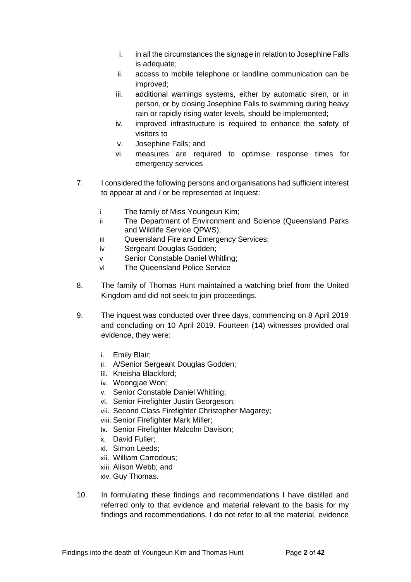- i. in all the circumstances the signage in relation to Josephine Falls is adequate;
- ii. access to mobile telephone or landline communication can be improved;
- iii. additional warnings systems, either by automatic siren, or in person, or by closing Josephine Falls to swimming during heavy rain or rapidly rising water levels, should be implemented;
- iv. improved infrastructure is required to enhance the safety of visitors to
- v. Josephine Falls; and
- vi. measures are required to optimise response times for emergency services
- 7. I considered the following persons and organisations had sufficient interest to appear at and / or be represented at Inquest:
	- i The family of Miss Youngeun Kim;
	- ii The Department of Environment and Science (Queensland Parks and Wildlife Service QPWS);
	- iii Queensland Fire and Emergency Services;
	- iv Sergeant Douglas Godden;
	- v Senior Constable Daniel Whitling;
	- vi The Queensland Police Service
- 8. The family of Thomas Hunt maintained a watching brief from the United Kingdom and did not seek to join proceedings.
- 9. The inquest was conducted over three days, commencing on 8 April 2019 and concluding on 10 April 2019. Fourteen (14) witnesses provided oral evidence, they were:
	- i. Emily Blair;
	- ii. A/Senior Sergeant Douglas Godden;
	- iii. Kneisha Blackford;
	- iv. Woongjae Won;
	- v. Senior Constable Daniel Whitling;
	- vi. Senior Firefighter Justin Georgeson;
	- vii. Second Class Firefighter Christopher Magarey;
	- viii. Senior Firefighter Mark Miller;
	- ix. Senior Firefighter Malcolm Davison;
	- x. David Fuller;
	- xi. Simon Leeds;
	- xii. William Carrodous;
	- xiii. Alison Webb; and
	- xiv. Guy Thomas.
- 10. In formulating these findings and recommendations I have distilled and referred only to that evidence and material relevant to the basis for my findings and recommendations. I do not refer to all the material, evidence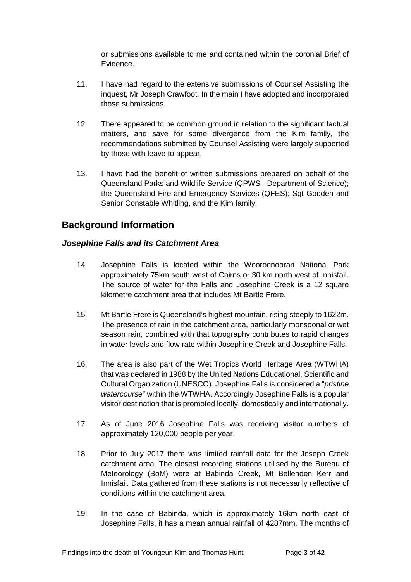or submissions available to me and contained within the coronial Brief of Evidence.

- 11. I have had regard to the extensive submissions of Counsel Assisting the inquest, Mr Joseph Crawfoot. In the main I have adopted and incorporated those submissions.
- 12. There appeared to be common ground in relation to the significant factual matters, and save for some divergence from the Kim family, the recommendations submitted by Counsel Assisting were largely supported by those with leave to appear.
- 13. I have had the benefit of written submissions prepared on behalf of the Queensland Parks and Wildlife Service (QPWS - Department of Science); the Queensland Fire and Emergency Services (QFES): Sgt Godden and Senior Constable Whitling, and the Kim family.

## <span id="page-6-0"></span>**Background Information**

#### <span id="page-6-1"></span>*Josephine Falls and its Catchment Area*

- 14. Josephine Falls is located within the Wooroonooran National Park approximately 75km south west of Cairns or 30 km north west of Innisfail. The source of water for the Falls and Josephine Creek is a 12 square kilometre catchment area that includes Mt Bartle Frere.
- 15. Mt Bartle Frere is Queensland's highest mountain, rising steeply to 1622m. The presence of rain in the catchment area, particularly monsoonal or wet season rain, combined with that topography contributes to rapid changes in water levels and flow rate within Josephine Creek and Josephine Falls.
- 16. The area is also part of the Wet Tropics World Heritage Area (WTWHA) that was declared in 1988 by the United Nations Educational, Scientific and Cultural Organization (UNESCO). Josephine Falls is considered a "*pristine watercourse*" within the WTWHA. Accordingly Josephine Falls is a popular visitor destination that is promoted locally, domestically and internationally.
- 17. As of June 2016 Josephine Falls was receiving visitor numbers of approximately 120,000 people per year.
- 18. Prior to July 2017 there was limited rainfall data for the Joseph Creek catchment area. The closest recording stations utilised by the Bureau of Meteorology (BoM) were at Babinda Creek, Mt Bellenden Kerr and Innisfail. Data gathered from these stations is not necessarily reflective of conditions within the catchment area.
- 19. In the case of Babinda, which is approximately 16km north east of Josephine Falls, it has a mean annual rainfall of 4287mm. The months of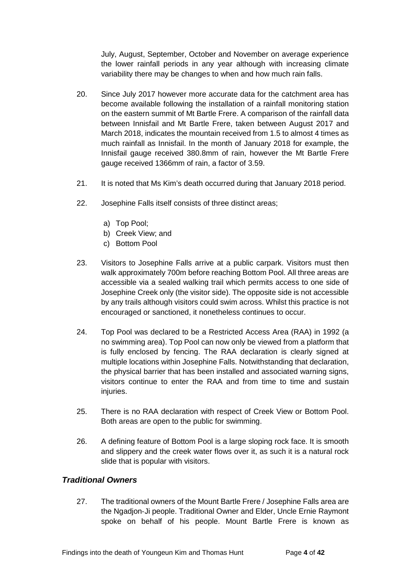July, August, September, October and November on average experience the lower rainfall periods in any year although with increasing climate variability there may be changes to when and how much rain falls.

- 20. Since July 2017 however more accurate data for the catchment area has become available following the installation of a rainfall monitoring station on the eastern summit of Mt Bartle Frere. A comparison of the rainfall data between Innisfail and Mt Bartle Frere, taken between August 2017 and March 2018, indicates the mountain received from 1.5 to almost 4 times as much rainfall as Innisfail. In the month of January 2018 for example, the Innisfail gauge received 380.8mm of rain, however the Mt Bartle Frere gauge received 1366mm of rain, a factor of 3.59.
- 21. It is noted that Ms Kim's death occurred during that January 2018 period.
- 22. Josephine Falls itself consists of three distinct areas;
	- a) Top Pool;
	- b) Creek View; and
	- c) Bottom Pool
- 23. Visitors to Josephine Falls arrive at a public carpark. Visitors must then walk approximately 700m before reaching Bottom Pool. All three areas are accessible via a sealed walking trail which permits access to one side of Josephine Creek only (the visitor side). The opposite side is not accessible by any trails although visitors could swim across. Whilst this practice is not encouraged or sanctioned, it nonetheless continues to occur.
- 24. Top Pool was declared to be a Restricted Access Area (RAA) in 1992 (a no swimming area). Top Pool can now only be viewed from a platform that is fully enclosed by fencing. The RAA declaration is clearly signed at multiple locations within Josephine Falls. Notwithstanding that declaration, the physical barrier that has been installed and associated warning signs, visitors continue to enter the RAA and from time to time and sustain iniuries.
- 25. There is no RAA declaration with respect of Creek View or Bottom Pool. Both areas are open to the public for swimming.
- 26. A defining feature of Bottom Pool is a large sloping rock face. It is smooth and slippery and the creek water flows over it, as such it is a natural rock slide that is popular with visitors.

#### <span id="page-7-0"></span>*Traditional Owners*

27. The traditional owners of the Mount Bartle Frere / Josephine Falls area are the Ngadjon‐Ji people. Traditional Owner and Elder, Uncle Ernie Raymont spoke on behalf of his people. Mount Bartle Frere is known as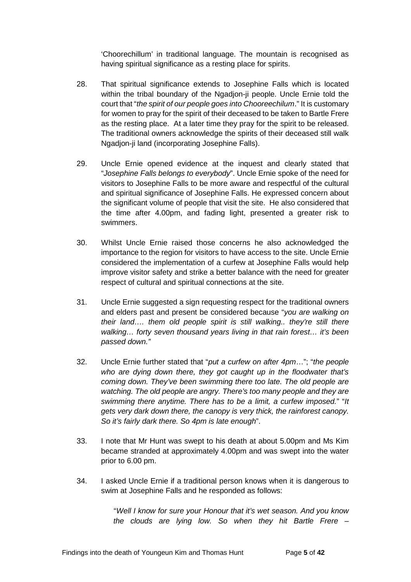'Choorechillum' in traditional language. The mountain is recognised as having spiritual significance as a resting place for spirits.

- 28. That spiritual significance extends to Josephine Falls which is located within the tribal boundary of the Ngadjon-ji people. Uncle Ernie told the court that "*the spirit of our people goes into Chooreechilum*." It is customary for women to pray for the spirit of their deceased to be taken to Bartle Frere as the resting place. At a later time they pray for the spirit to be released. The traditional owners acknowledge the spirits of their deceased still walk Ngadjon-ji land (incorporating Josephine Falls).
- 29. Uncle Ernie opened evidence at the inquest and clearly stated that "*Josephine Falls belongs to everybody*". Uncle Ernie spoke of the need for visitors to Josephine Falls to be more aware and respectful of the cultural and spiritual significance of Josephine Falls. He expressed concern about the significant volume of people that visit the site. He also considered that the time after 4.00pm, and fading light, presented a greater risk to swimmers.
- 30. Whilst Uncle Ernie raised those concerns he also acknowledged the importance to the region for visitors to have access to the site. Uncle Ernie considered the implementation of a curfew at Josephine Falls would help improve visitor safety and strike a better balance with the need for greater respect of cultural and spiritual connections at the site.
- 31. Uncle Ernie suggested a sign requesting respect for the traditional owners and elders past and present be considered because "*you are walking on their land…. them old people spirit is still walking.. they're still there walking… forty seven thousand years living in that rain forest… it's been passed down."*
- 32. Uncle Ernie further stated that "*put a curfew on after 4pm*…"; "*the people who are dying down there, they got caught up in the floodwater that's coming down. They've been swimming there too late. The old people are watching. The old people are angry. There's too many people and they are swimming there anytime. There has to be a limit, a curfew imposed.*" "*It gets very dark down there, the canopy is very thick, the rainforest canopy. So it's fairly dark there. So 4pm is late enough*".
- 33. I note that Mr Hunt was swept to his death at about 5.00pm and Ms Kim became stranded at approximately 4.00pm and was swept into the water prior to 6.00 pm.
- 34. I asked Uncle Ernie if a traditional person knows when it is dangerous to swim at Josephine Falls and he responded as follows:

 "*Well I know for sure your Honour that it's wet season. And you know the clouds are lying low. So when they hit Bartle Frere –*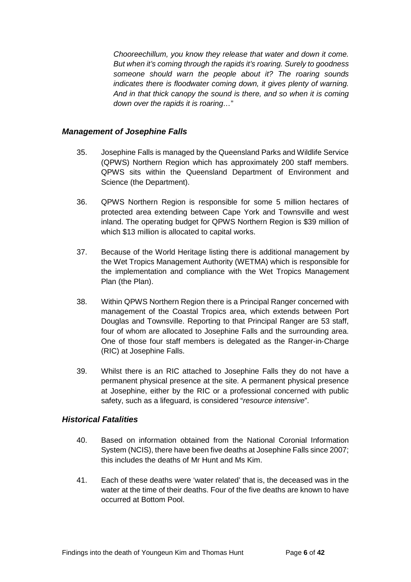*Chooreechillum, you know they release that water and down it come. But when it's coming through the rapids it's roaring. Surely to goodness someone should warn the people about it? The roaring sounds indicates there is floodwater coming down, it gives plenty of warning. And in that thick canopy the sound is there, and so when it is coming down over the rapids it is roaring…*"

#### <span id="page-9-0"></span>*Management of Josephine Falls*

- 35. Josephine Falls is managed by the Queensland Parks and Wildlife Service (QPWS) Northern Region which has approximately 200 staff members. QPWS sits within the Queensland Department of Environment and Science (the Department).
- 36. QPWS Northern Region is responsible for some 5 million hectares of protected area extending between Cape York and Townsville and west inland. The operating budget for QPWS Northern Region is \$39 million of which \$13 million is allocated to capital works.
- 37. Because of the World Heritage listing there is additional management by the Wet Tropics Management Authority (WETMA) which is responsible for the implementation and compliance with the Wet Tropics Management Plan (the Plan).
- 38. Within QPWS Northern Region there is a Principal Ranger concerned with management of the Coastal Tropics area, which extends between Port Douglas and Townsville. Reporting to that Principal Ranger are 53 staff, four of whom are allocated to Josephine Falls and the surrounding area. One of those four staff members is delegated as the Ranger‐in‐Charge (RIC) at Josephine Falls.
- 39. Whilst there is an RIC attached to Josephine Falls they do not have a permanent physical presence at the site. A permanent physical presence at Josephine, either by the RIC or a professional concerned with public safety, such as a lifeguard, is considered "*resource intensive*".

#### <span id="page-9-1"></span>*Historical Fatalities*

- 40. Based on information obtained from the National Coronial Information System (NCIS), there have been five deaths at Josephine Falls since 2007; this includes the deaths of Mr Hunt and Ms Kim.
- 41. Each of these deaths were 'water related' that is, the deceased was in the water at the time of their deaths. Four of the five deaths are known to have occurred at Bottom Pool.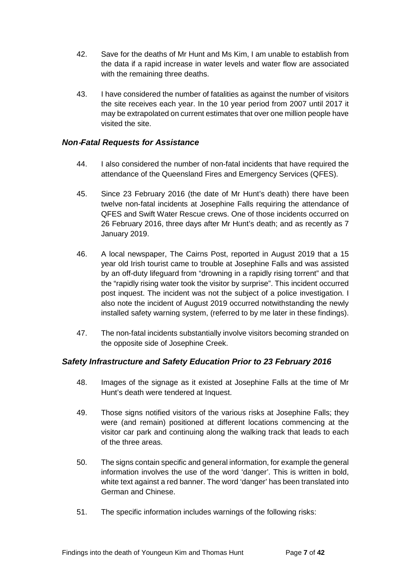- 42. Save for the deaths of Mr Hunt and Ms Kim, I am unable to establish from the data if a rapid increase in water levels and water flow are associated with the remaining three deaths.
- 43. I have considered the number of fatalities as against the number of visitors the site receives each year. In the 10 year period from 2007 until 2017 it may be extrapolated on current estimates that over one million people have visited the site.

#### <span id="page-10-0"></span>*Non*‐*Fatal Requests for Assistance*

- 44. I also considered the number of non-fatal incidents that have required the attendance of the Queensland Fires and Emergency Services (QFES).
- 45. Since 23 February 2016 (the date of Mr Hunt's death) there have been twelve non‐fatal incidents at Josephine Falls requiring the attendance of QFES and Swift Water Rescue crews. One of those incidents occurred on 26 February 2016, three days after Mr Hunt's death; and as recently as 7 January 2019.
- 46. A local newspaper, The Cairns Post, reported in August 2019 that a 15 year old Irish tourist came to trouble at Josephine Falls and was assisted by an off-duty lifeguard from "drowning in a rapidly rising torrent" and that the "rapidly rising water took the visitor by surprise". This incident occurred post inquest. The incident was not the subject of a police investigation. I also note the incident of August 2019 occurred notwithstanding the newly installed safety warning system, (referred to by me later in these findings).
- 47. The non-fatal incidents substantially involve visitors becoming stranded on the opposite side of Josephine Creek.

#### <span id="page-10-1"></span>*Safety Infrastructure and Safety Education Prior to 23 February 2016*

- 48. Images of the signage as it existed at Josephine Falls at the time of Mr Hunt's death were tendered at Inquest.
- 49. Those signs notified visitors of the various risks at Josephine Falls; they were (and remain) positioned at different locations commencing at the visitor car park and continuing along the walking track that leads to each of the three areas.
- 50. The signs contain specific and general information, for example the general information involves the use of the word 'danger'. This is written in bold, white text against a red banner. The word 'danger' has been translated into German and Chinese.
- 51. The specific information includes warnings of the following risks: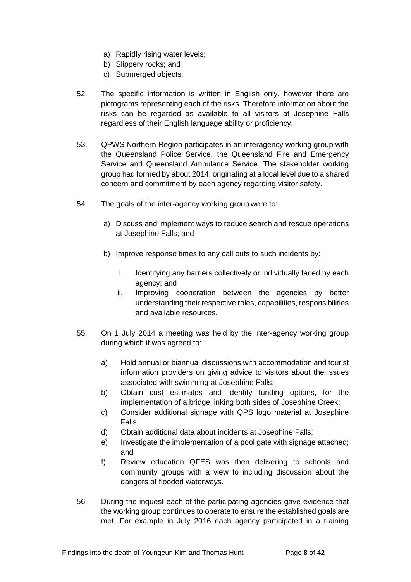- a) Rapidly rising water levels;
- b) Slippery rocks; and
- c) Submerged objects.
- 52. The specific information is written in English only, however there are pictograms representing each of the risks. Therefore information about the risks can be regarded as available to all visitors at Josephine Falls regardless of their English language ability or proficiency.
- 53. QPWS Northern Region participates in an interagency working group with the Queensland Police Service, the Queensland Fire and Emergency Service and Queensland Ambulance Service. The stakeholder working group had formed by about 2014, originating at a local level due to a shared concern and commitment by each agency regarding visitor safety.
- 54. The goals of the inter-agency working group were to:
	- a) Discuss and implement ways to reduce search and rescue operations at Josephine Falls; and
	- b) Improve response times to any call outs to such incidents by:
		- i. Identifying any barriers collectively or individually faced by each agency; and
		- ii. Improving cooperation between the agencies by better understanding their respective roles, capabilities, responsibilities and available resources.
- 55. On 1 July 2014 a meeting was held by the inter‐agency working group during which it was agreed to:
	- a) Hold annual or biannual discussions with accommodation and tourist information providers on giving advice to visitors about the issues associated with swimming at Josephine Falls;
	- b) Obtain cost estimates and identify funding options, for the implementation of a bridge linking both sides of Josephine Creek;
	- c) Consider additional signage with QPS logo material at Josephine Falls;
	- d) Obtain additional data about incidents at Josephine Falls;
	- e) Investigate the implementation of a pool gate with signage attached; and
	- f) Review education QFES was then delivering to schools and community groups with a view to including discussion about the dangers of flooded waterways.
- 56. During the inquest each of the participating agencies gave evidence that the working group continues to operate to ensure the established goals are met. For example in July 2016 each agency participated in a training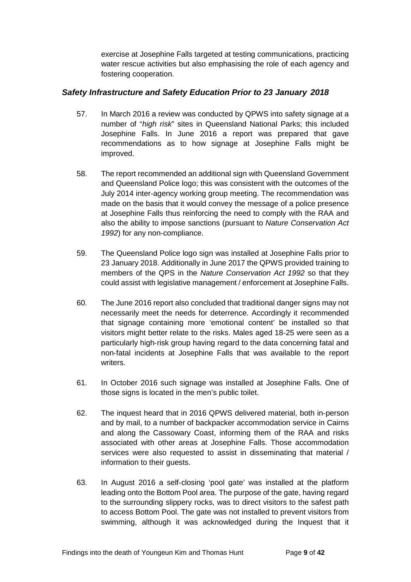exercise at Josephine Falls targeted at testing communications, practicing water rescue activities but also emphasising the role of each agency and fostering cooperation.

#### <span id="page-12-0"></span>*Safety Infrastructure and Safety Education Prior to 23 January 2018*

- 57. In March 2016 a review was conducted by QPWS into safety signage at a number of "*high risk*" sites in Queensland National Parks; this included Josephine Falls. In June 2016 a report was prepared that gave recommendations as to how signage at Josephine Falls might be improved.
- 58. The report recommended an additional sign with Queensland Government and Queensland Police logo; this was consistent with the outcomes of the July 2014 inter‐agency working group meeting. The recommendation was made on the basis that it would convey the message of a police presence at Josephine Falls thus reinforcing the need to comply with the RAA and also the ability to impose sanctions (pursuant to *Nature Conservation Act 1992*) for any non‐compliance.
- 59. The Queensland Police logo sign was installed at Josephine Falls prior to 23 January 2018. Additionally in June 2017 the QPWS provided training to members of the QPS in the *Nature Conservation Act 1992* so that they could assist with legislative management / enforcement at Josephine Falls.
- 60. The June 2016 report also concluded that traditional danger signs may not necessarily meet the needs for deterrence. Accordingly it recommended that signage containing more 'emotional content' be installed so that visitors might better relate to the risks. Males aged 18‐25 were seen as a particularly high‐risk group having regard to the data concerning fatal and non‐fatal incidents at Josephine Falls that was available to the report writers.
- 61. In October 2016 such signage was installed at Josephine Falls. One of those signs is located in the men's public toilet.
- 62. The inquest heard that in 2016 QPWS delivered material, both in‐person and by mail, to a number of backpacker accommodation service in Cairns and along the Cassowary Coast, informing them of the RAA and risks associated with other areas at Josephine Falls. Those accommodation services were also requested to assist in disseminating that material / information to their guests.
- 63. In August 2016 a self‐closing 'pool gate' was installed at the platform leading onto the Bottom Pool area. The purpose of the gate, having regard to the surrounding slippery rocks, was to direct visitors to the safest path to access Bottom Pool. The gate was not installed to prevent visitors from swimming, although it was acknowledged during the Inquest that it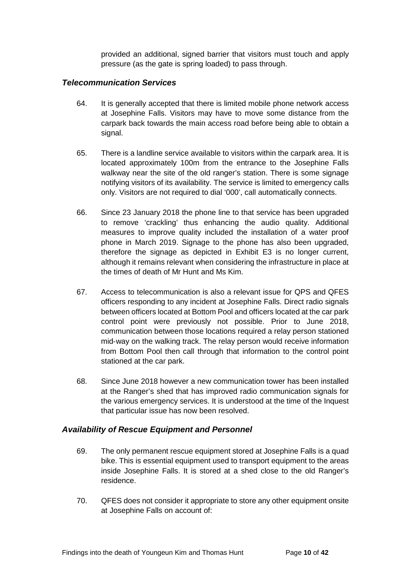provided an additional, signed barrier that visitors must touch and apply pressure (as the gate is spring loaded) to pass through.

#### <span id="page-13-0"></span>*Telecommunication Services*

- 64. It is generally accepted that there is limited mobile phone network access at Josephine Falls. Visitors may have to move some distance from the carpark back towards the main access road before being able to obtain a signal.
- 65. There is a landline service available to visitors within the carpark area. It is located approximately 100m from the entrance to the Josephine Falls walkway near the site of the old ranger's station. There is some signage notifying visitors of its availability. The service is limited to emergency calls only. Visitors are not required to dial '000', call automatically connects.
- 66. Since 23 January 2018 the phone line to that service has been upgraded to remove 'crackling' thus enhancing the audio quality. Additional measures to improve quality included the installation of a water proof phone in March 2019. Signage to the phone has also been upgraded, therefore the signage as depicted in Exhibit E3 is no longer current, although it remains relevant when considering the infrastructure in place at the times of death of Mr Hunt and Ms Kim.
- 67. Access to telecommunication is also a relevant issue for QPS and QFES officers responding to any incident at Josephine Falls. Direct radio signals between officers located at Bottom Pool and officers located at the car park control point were previously not possible. Prior to June 2018, communication between those locations required a relay person stationed mid‐way on the walking track. The relay person would receive information from Bottom Pool then call through that information to the control point stationed at the car park.
- 68. Since June 2018 however a new communication tower has been installed at the Ranger's shed that has improved radio communication signals for the various emergency services. It is understood at the time of the Inquest that particular issue has now been resolved.

#### <span id="page-13-1"></span>*Availability of Rescue Equipment and Personnel*

- 69. The only permanent rescue equipment stored at Josephine Falls is a quad bike. This is essential equipment used to transport equipment to the areas inside Josephine Falls. It is stored at a shed close to the old Ranger's residence.
- 70. QFES does not consider it appropriate to store any other equipment onsite at Josephine Falls on account of: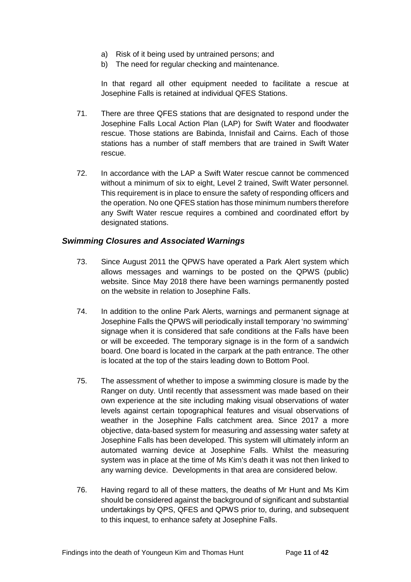- a) Risk of it being used by untrained persons; and
- b) The need for regular checking and maintenance.

In that regard all other equipment needed to facilitate a rescue at Josephine Falls is retained at individual QFES Stations.

- 71. There are three QFES stations that are designated to respond under the Josephine Falls Local Action Plan (LAP) for Swift Water and floodwater rescue. Those stations are Babinda, Innisfail and Cairns. Each of those stations has a number of staff members that are trained in Swift Water rescue.
- 72. In accordance with the LAP a Swift Water rescue cannot be commenced without a minimum of six to eight. Level 2 trained. Swift Water personnel. This requirement is in place to ensure the safety of responding officers and the operation. No one QFES station has those minimum numbers therefore any Swift Water rescue requires a combined and coordinated effort by designated stations.

#### <span id="page-14-0"></span>*Swimming Closures and Associated Warnings*

- 73. Since August 2011 the QPWS have operated a Park Alert system which allows messages and warnings to be posted on the QPWS (public) website. Since May 2018 there have been warnings permanently posted on the website in relation to Josephine Falls.
- 74. In addition to the online Park Alerts, warnings and permanent signage at Josephine Falls the QPWS will periodically install temporary 'no swimming' signage when it is considered that safe conditions at the Falls have been or will be exceeded. The temporary signage is in the form of a sandwich board. One board is located in the carpark at the path entrance. The other is located at the top of the stairs leading down to Bottom Pool.
- 75. The assessment of whether to impose a swimming closure is made by the Ranger on duty. Until recently that assessment was made based on their own experience at the site including making visual observations of water levels against certain topographical features and visual observations of weather in the Josephine Falls catchment area. Since 2017 a more objective, data‐based system for measuring and assessing water safety at Josephine Falls has been developed. This system will ultimately inform an automated warning device at Josephine Falls. Whilst the measuring system was in place at the time of Ms Kim's death it was not then linked to any warning device. Developments in that area are considered below.
- 76. Having regard to all of these matters, the deaths of Mr Hunt and Ms Kim should be considered against the background of significant and substantial undertakings by QPS, QFES and QPWS prior to, during, and subsequent to this inquest, to enhance safety at Josephine Falls.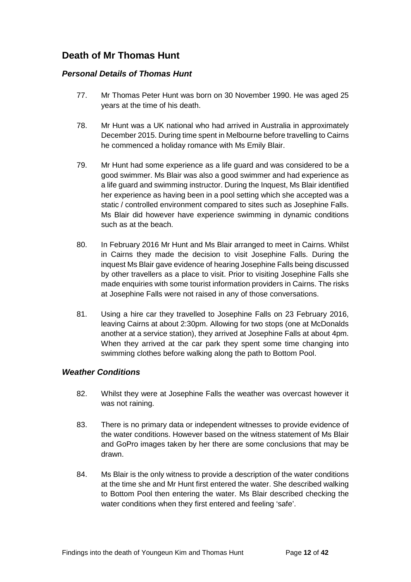# <span id="page-15-0"></span>**Death of Mr Thomas Hunt**

#### <span id="page-15-1"></span>*Personal Details of Thomas Hunt*

- 77. Mr Thomas Peter Hunt was born on 30 November 1990. He was aged 25 years at the time of his death.
- 78. Mr Hunt was a UK national who had arrived in Australia in approximately December 2015. During time spent in Melbourne before travelling to Cairns he commenced a holiday romance with Ms Emily Blair.
- 79. Mr Hunt had some experience as a life guard and was considered to be a good swimmer. Ms Blair was also a good swimmer and had experience as a life guard and swimming instructor. During the Inquest, Ms Blair identified her experience as having been in a pool setting which she accepted was a static / controlled environment compared to sites such as Josephine Falls. Ms Blair did however have experience swimming in dynamic conditions such as at the beach.
- 80. In February 2016 Mr Hunt and Ms Blair arranged to meet in Cairns. Whilst in Cairns they made the decision to visit Josephine Falls. During the inquest Ms Blair gave evidence of hearing Josephine Falls being discussed by other travellers as a place to visit. Prior to visiting Josephine Falls she made enquiries with some tourist information providers in Cairns. The risks at Josephine Falls were not raised in any of those conversations.
- 81. Using a hire car they travelled to Josephine Falls on 23 February 2016, leaving Cairns at about 2:30pm. Allowing for two stops (one at McDonalds another at a service station), they arrived at Josephine Falls at about 4pm. When they arrived at the car park they spent some time changing into swimming clothes before walking along the path to Bottom Pool.

#### <span id="page-15-2"></span>*Weather Conditions*

- 82. Whilst they were at Josephine Falls the weather was overcast however it was not raining.
- 83. There is no primary data or independent witnesses to provide evidence of the water conditions. However based on the witness statement of Ms Blair and GoPro images taken by her there are some conclusions that may be drawn.
- 84. Ms Blair is the only witness to provide a description of the water conditions at the time she and Mr Hunt first entered the water. She described walking to Bottom Pool then entering the water. Ms Blair described checking the water conditions when they first entered and feeling 'safe'.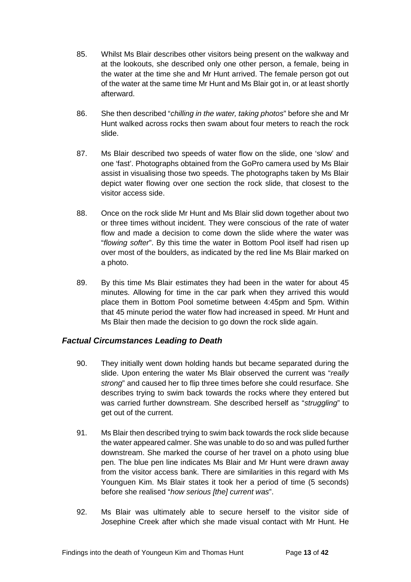- 85. Whilst Ms Blair describes other visitors being present on the walkway and at the lookouts, she described only one other person, a female, being in the water at the time she and Mr Hunt arrived. The female person got out of the water at the same time Mr Hunt and Ms Blair got in, or at least shortly afterward.
- 86. She then described "*chilling in the water, taking photos*" before she and Mr Hunt walked across rocks then swam about four meters to reach the rock slide.
- 87. Ms Blair described two speeds of water flow on the slide, one 'slow' and one 'fast'. Photographs obtained from the GoPro camera used by Ms Blair assist in visualising those two speeds. The photographs taken by Ms Blair depict water flowing over one section the rock slide, that closest to the visitor access side.
- 88. Once on the rock slide Mr Hunt and Ms Blair slid down together about two or three times without incident. They were conscious of the rate of water flow and made a decision to come down the slide where the water was "*flowing softer*". By this time the water in Bottom Pool itself had risen up over most of the boulders, as indicated by the red line Ms Blair marked on a photo.
- 89. By this time Ms Blair estimates they had been in the water for about 45 minutes. Allowing for time in the car park when they arrived this would place them in Bottom Pool sometime between 4:45pm and 5pm. Within that 45 minute period the water flow had increased in speed. Mr Hunt and Ms Blair then made the decision to go down the rock slide again.

#### <span id="page-16-0"></span>*Factual Circumstances Leading to Death*

- 90. They initially went down holding hands but became separated during the slide. Upon entering the water Ms Blair observed the current was "*really strong*" and caused her to flip three times before she could resurface. She describes trying to swim back towards the rocks where they entered but was carried further downstream. She described herself as "*struggling*" to get out of the current.
- 91. Ms Blair then described trying to swim back towards the rock slide because the water appeared calmer. She was unable to do so and was pulled further downstream. She marked the course of her travel on a photo using blue pen. The blue pen line indicates Ms Blair and Mr Hunt were drawn away from the visitor access bank. There are similarities in this regard with Ms Younguen Kim. Ms Blair states it took her a period of time (5 seconds) before she realised "*how serious [the] current was*".
- 92. Ms Blair was ultimately able to secure herself to the visitor side of Josephine Creek after which she made visual contact with Mr Hunt. He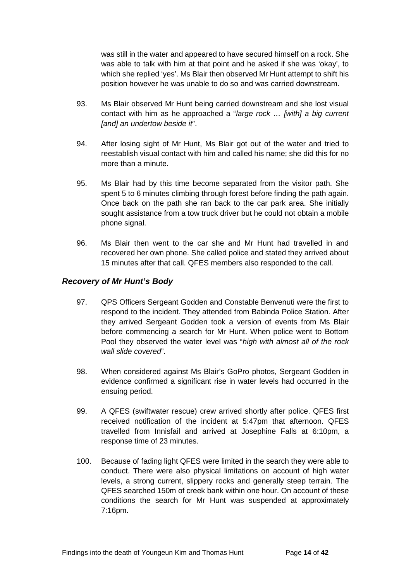was still in the water and appeared to have secured himself on a rock. She was able to talk with him at that point and he asked if she was 'okay', to which she replied 'yes'. Ms Blair then observed Mr Hunt attempt to shift his position however he was unable to do so and was carried downstream.

- 93. Ms Blair observed Mr Hunt being carried downstream and she lost visual contact with him as he approached a "*large rock … [with] a big current [and] an undertow beside it*".
- 94. After losing sight of Mr Hunt, Ms Blair got out of the water and tried to reestablish visual contact with him and called his name; she did this for no more than a minute.
- 95. Ms Blair had by this time become separated from the visitor path. She spent 5 to 6 minutes climbing through forest before finding the path again. Once back on the path she ran back to the car park area. She initially sought assistance from a tow truck driver but he could not obtain a mobile phone signal.
- 96. Ms Blair then went to the car she and Mr Hunt had travelled in and recovered her own phone. She called police and stated they arrived about 15 minutes after that call. QFES members also responded to the call.

#### <span id="page-17-0"></span>*Recovery of Mr Hunt's Body*

- 97. QPS Officers Sergeant Godden and Constable Benvenuti were the first to respond to the incident. They attended from Babinda Police Station. After they arrived Sergeant Godden took a version of events from Ms Blair before commencing a search for Mr Hunt. When police went to Bottom Pool they observed the water level was "*high with almost all of the rock wall slide covered*".
- 98. When considered against Ms Blair's GoPro photos, Sergeant Godden in evidence confirmed a significant rise in water levels had occurred in the ensuing period.
- 99. A QFES (swiftwater rescue) crew arrived shortly after police. QFES first received notification of the incident at 5:47pm that afternoon. QFES travelled from Innisfail and arrived at Josephine Falls at 6:10pm, a response time of 23 minutes.
- 100. Because of fading light QFES were limited in the search they were able to conduct. There were also physical limitations on account of high water levels, a strong current, slippery rocks and generally steep terrain. The QFES searched 150m of creek bank within one hour. On account of these conditions the search for Mr Hunt was suspended at approximately 7:16pm.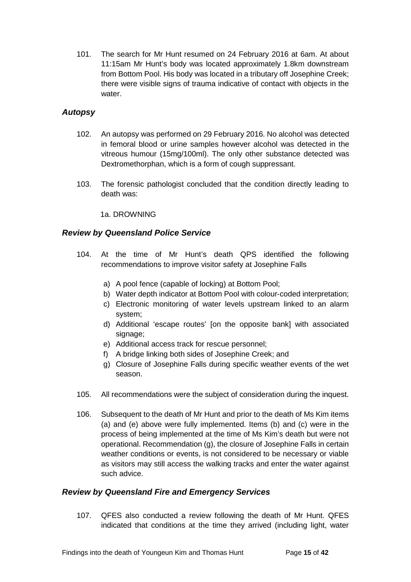101. The search for Mr Hunt resumed on 24 February 2016 at 6am. At about 11:15am Mr Hunt's body was located approximately 1.8km downstream from Bottom Pool. His body was located in a tributary off Josephine Creek; there were visible signs of trauma indicative of contact with objects in the water.

#### <span id="page-18-0"></span>*Autopsy*

- 102. An autopsy was performed on 29 February 2016. No alcohol was detected in femoral blood or urine samples however alcohol was detected in the vitreous humour (15mg/100ml). The only other substance detected was Dextromethorphan, which is a form of cough suppressant.
- 103. The forensic pathologist concluded that the condition directly leading to death was:

1a. DROWNING

#### <span id="page-18-1"></span>*Review by Queensland Police Service*

- 104. At the time of Mr Hunt's death QPS identified the following recommendations to improve visitor safety at Josephine Falls
	- a) A pool fence (capable of locking) at Bottom Pool;
	- b) Water depth indicator at Bottom Pool with colour-coded interpretation;
	- c) Electronic monitoring of water levels upstream linked to an alarm system;
	- d) Additional 'escape routes' [on the opposite bank] with associated signage;
	- e) Additional access track for rescue personnel;
	- f) A bridge linking both sides of Josephine Creek; and
	- g) Closure of Josephine Falls during specific weather events of the wet season.
- 105. All recommendations were the subject of consideration during the inquest.
- 106. Subsequent to the death of Mr Hunt and prior to the death of Ms Kim items (a) and (e) above were fully implemented. Items (b) and (c) were in the process of being implemented at the time of Ms Kim's death but were not operational. Recommendation (g), the closure of Josephine Falls in certain weather conditions or events, is not considered to be necessary or viable as visitors may still access the walking tracks and enter the water against such advice.

#### <span id="page-18-2"></span>*Review by Queensland Fire and Emergency Services*

107. QFES also conducted a review following the death of Mr Hunt. QFES indicated that conditions at the time they arrived (including light, water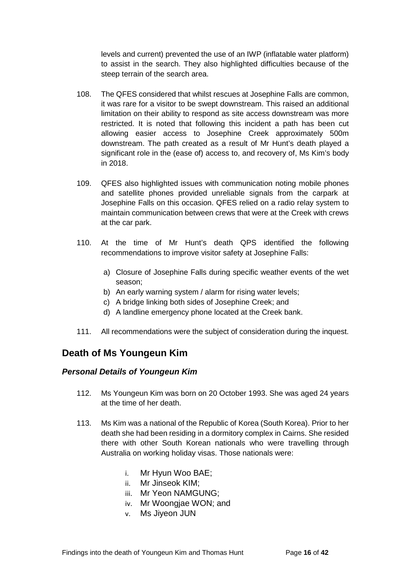levels and current) prevented the use of an IWP (inflatable water platform) to assist in the search. They also highlighted difficulties because of the steep terrain of the search area.

- 108. The QFES considered that whilst rescues at Josephine Falls are common, it was rare for a visitor to be swept downstream. This raised an additional limitation on their ability to respond as site access downstream was more restricted. It is noted that following this incident a path has been cut allowing easier access to Josephine Creek approximately 500m downstream. The path created as a result of Mr Hunt's death played a significant role in the (ease of) access to, and recovery of, Ms Kim's body in 2018.
- 109. QFES also highlighted issues with communication noting mobile phones and satellite phones provided unreliable signals from the carpark at Josephine Falls on this occasion. QFES relied on a radio relay system to maintain communication between crews that were at the Creek with crews at the car park.
- 110. At the time of Mr Hunt's death QPS identified the following recommendations to improve visitor safety at Josephine Falls:
	- a) Closure of Josephine Falls during specific weather events of the wet season;
	- b) An early warning system / alarm for rising water levels;
	- c) A bridge linking both sides of Josephine Creek; and
	- d) A landline emergency phone located at the Creek bank.
- 111. All recommendations were the subject of consideration during the inquest.

## <span id="page-19-0"></span>**Death of Ms Youngeun Kim**

#### <span id="page-19-1"></span>*Personal Details of Youngeun Kim*

- 112. Ms Youngeun Kim was born on 20 October 1993. She was aged 24 years at the time of her death.
- 113. Ms Kim was a national of the Republic of Korea (South Korea). Prior to her death she had been residing in a dormitory complex in Cairns. She resided there with other South Korean nationals who were travelling through Australia on working holiday visas. Those nationals were:
	- i. Mr Hyun Woo BAE;
	- ii. Mr Jinseok KIM;
	- iii. Mr Yeon NAMGUNG;
	- iv. Mr Woongjae WON; and
	- v. Ms Jiyeon JUN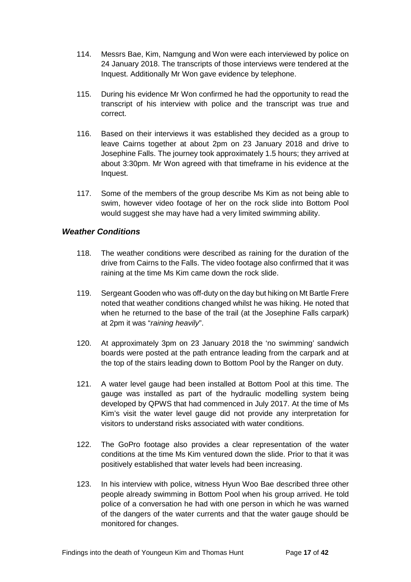- 114. Messrs Bae, Kim, Namgung and Won were each interviewed by police on 24 January 2018. The transcripts of those interviews were tendered at the Inquest. Additionally Mr Won gave evidence by telephone.
- 115. During his evidence Mr Won confirmed he had the opportunity to read the transcript of his interview with police and the transcript was true and correct.
- 116. Based on their interviews it was established they decided as a group to leave Cairns together at about 2pm on 23 January 2018 and drive to Josephine Falls. The journey took approximately 1.5 hours; they arrived at about 3:30pm. Mr Won agreed with that timeframe in his evidence at the Inquest.
- 117. Some of the members of the group describe Ms Kim as not being able to swim, however video footage of her on the rock slide into Bottom Pool would suggest she may have had a very limited swimming ability.

#### <span id="page-20-0"></span>*Weather Conditions*

- 118. The weather conditions were described as raining for the duration of the drive from Cairns to the Falls. The video footage also confirmed that it was raining at the time Ms Kim came down the rock slide.
- 119. Sergeant Gooden who was off‐duty on the day but hiking on Mt Bartle Frere noted that weather conditions changed whilst he was hiking. He noted that when he returned to the base of the trail (at the Josephine Falls carpark) at 2pm it was "*raining heavily*".
- 120. At approximately 3pm on 23 January 2018 the 'no swimming' sandwich boards were posted at the path entrance leading from the carpark and at the top of the stairs leading down to Bottom Pool by the Ranger on duty.
- 121. A water level gauge had been installed at Bottom Pool at this time. The gauge was installed as part of the hydraulic modelling system being developed by QPWS that had commenced in July 2017. At the time of Ms Kim's visit the water level gauge did not provide any interpretation for visitors to understand risks associated with water conditions.
- 122. The GoPro footage also provides a clear representation of the water conditions at the time Ms Kim ventured down the slide. Prior to that it was positively established that water levels had been increasing.
- 123. In his interview with police, witness Hyun Woo Bae described three other people already swimming in Bottom Pool when his group arrived. He told police of a conversation he had with one person in which he was warned of the dangers of the water currents and that the water gauge should be monitored for changes.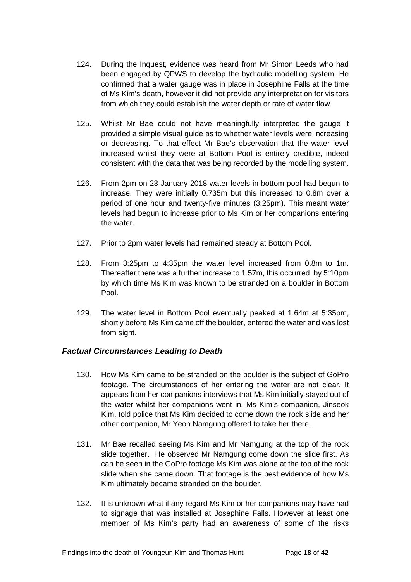- 124. During the Inquest, evidence was heard from Mr Simon Leeds who had been engaged by QPWS to develop the hydraulic modelling system. He confirmed that a water gauge was in place in Josephine Falls at the time of Ms Kim's death, however it did not provide any interpretation for visitors from which they could establish the water depth or rate of water flow.
- 125. Whilst Mr Bae could not have meaningfully interpreted the gauge it provided a simple visual guide as to whether water levels were increasing or decreasing. To that effect Mr Bae's observation that the water level increased whilst they were at Bottom Pool is entirely credible, indeed consistent with the data that was being recorded by the modelling system.
- 126. From 2pm on 23 January 2018 water levels in bottom pool had begun to increase. They were initially 0.735m but this increased to 0.8m over a period of one hour and twenty-five minutes (3:25pm). This meant water levels had begun to increase prior to Ms Kim or her companions entering the water.
- 127. Prior to 2pm water levels had remained steady at Bottom Pool.
- 128. From 3:25pm to 4:35pm the water level increased from 0.8m to 1m. Thereafter there was a further increase to 1.57m, this occurred by 5:10pm by which time Ms Kim was known to be stranded on a boulder in Bottom Pool.
- 129. The water level in Bottom Pool eventually peaked at 1.64m at 5:35pm, shortly before Ms Kim came off the boulder, entered the water and was lost from sight.

#### <span id="page-21-0"></span>*Factual Circumstances Leading to Death*

- 130. How Ms Kim came to be stranded on the boulder is the subject of GoPro footage. The circumstances of her entering the water are not clear. It appears from her companions interviews that Ms Kim initially stayed out of the water whilst her companions went in. Ms Kim's companion, Jinseok Kim, told police that Ms Kim decided to come down the rock slide and her other companion, Mr Yeon Namgung offered to take her there.
- 131. Mr Bae recalled seeing Ms Kim and Mr Namgung at the top of the rock slide together. He observed Mr Namgung come down the slide first. As can be seen in the GoPro footage Ms Kim was alone at the top of the rock slide when she came down. That footage is the best evidence of how Ms Kim ultimately became stranded on the boulder.
- 132. It is unknown what if any regard Ms Kim or her companions may have had to signage that was installed at Josephine Falls. However at least one member of Ms Kim's party had an awareness of some of the risks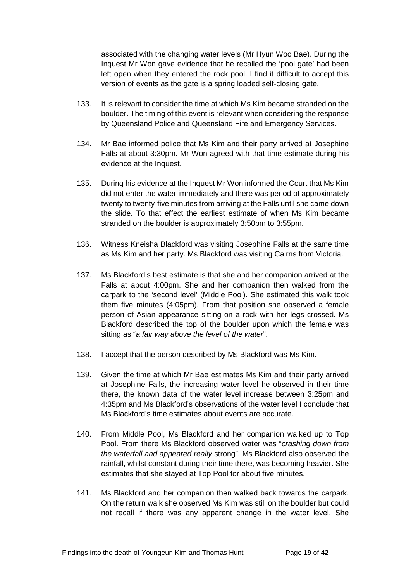associated with the changing water levels (Mr Hyun Woo Bae). During the Inquest Mr Won gave evidence that he recalled the 'pool gate' had been left open when they entered the rock pool. I find it difficult to accept this version of events as the gate is a spring loaded self-closing gate.

- 133. It is relevant to consider the time at which Ms Kim became stranded on the boulder. The timing of this event is relevant when considering the response by Queensland Police and Queensland Fire and Emergency Services.
- 134. Mr Bae informed police that Ms Kim and their party arrived at Josephine Falls at about 3:30pm. Mr Won agreed with that time estimate during his evidence at the Inquest.
- 135. During his evidence at the Inquest Mr Won informed the Court that Ms Kim did not enter the water immediately and there was period of approximately twenty to twenty‐five minutes from arriving at the Falls until she came down the slide. To that effect the earliest estimate of when Ms Kim became stranded on the boulder is approximately 3:50pm to 3:55pm.
- 136. Witness Kneisha Blackford was visiting Josephine Falls at the same time as Ms Kim and her party. Ms Blackford was visiting Cairns from Victoria.
- 137. Ms Blackford's best estimate is that she and her companion arrived at the Falls at about 4:00pm. She and her companion then walked from the carpark to the 'second level' (Middle Pool). She estimated this walk took them five minutes (4:05pm). From that position she observed a female person of Asian appearance sitting on a rock with her legs crossed. Ms Blackford described the top of the boulder upon which the female was sitting as "*a fair way above the level of the water*".
- 138. I accept that the person described by Ms Blackford was Ms Kim.
- 139. Given the time at which Mr Bae estimates Ms Kim and their party arrived at Josephine Falls, the increasing water level he observed in their time there, the known data of the water level increase between 3:25pm and 4:35pm and Ms Blackford's observations of the water level I conclude that Ms Blackford's time estimates about events are accurate.
- 140. From Middle Pool, Ms Blackford and her companion walked up to Top Pool. From there Ms Blackford observed water was "*crashing down from the waterfall and appeared really* strong". Ms Blackford also observed the rainfall, whilst constant during their time there, was becoming heavier. She estimates that she stayed at Top Pool for about five minutes.
- 141. Ms Blackford and her companion then walked back towards the carpark. On the return walk she observed Ms Kim was still on the boulder but could not recall if there was any apparent change in the water level. She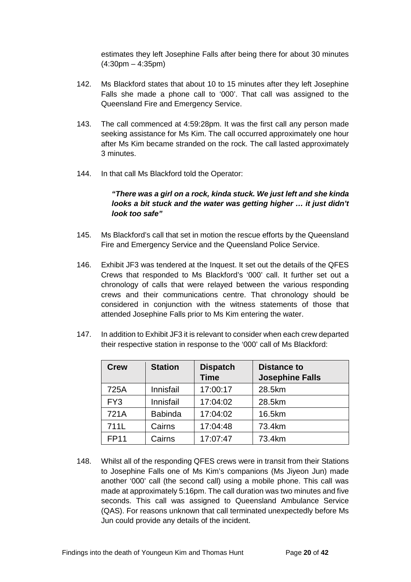estimates they left Josephine Falls after being there for about 30 minutes  $(4:30pm - 4:35pm)$ 

- 142. Ms Blackford states that about 10 to 15 minutes after they left Josephine Falls she made a phone call to '000'. That call was assigned to the Queensland Fire and Emergency Service.
- 143. The call commenced at 4:59:28pm. It was the first call any person made seeking assistance for Ms Kim. The call occurred approximately one hour after Ms Kim became stranded on the rock. The call lasted approximately 3 minutes.
- 144. In that call Ms Blackford told the Operator:

#### *"There was a girl on a rock, kinda stuck. We just left and she kinda looks a bit stuck and the water was getting higher … it just didn't look too safe"*

- 145. Ms Blackford's call that set in motion the rescue efforts by the Queensland Fire and Emergency Service and the Queensland Police Service.
- 146. Exhibit JF3 was tendered at the Inquest. It set out the details of the QFES Crews that responded to Ms Blackford's '000' call. It further set out a chronology of calls that were relayed between the various responding crews and their communications centre. That chronology should be considered in conjunction with the witness statements of those that attended Josephine Falls prior to Ms Kim entering the water.
- 147. In addition to Exhibit JF3 it is relevant to consider when each crew departed their respective station in response to the '000' call of Ms Blackford:

| <b>Crew</b>     | <b>Station</b> | <b>Dispatch</b><br><b>Time</b> | <b>Distance to</b><br><b>Josephine Falls</b> |
|-----------------|----------------|--------------------------------|----------------------------------------------|
| 725A            | Innisfail      | 17:00:17                       | 28.5km                                       |
| FY <sub>3</sub> | Innisfail      | 17:04:02                       | 28.5km                                       |
| 721A            | <b>Babinda</b> | 17:04:02                       | 16.5km                                       |
| 711L            | Cairns         | 17:04:48                       | 73.4km                                       |
| <b>FP11</b>     | Cairns         | 17:07:47                       | 73.4km                                       |

148. Whilst all of the responding QFES crews were in transit from their Stations to Josephine Falls one of Ms Kim's companions (Ms Jiyeon Jun) made another '000' call (the second call) using a mobile phone. This call was made at approximately 5:16pm. The call duration was two minutes and five seconds. This call was assigned to Queensland Ambulance Service (QAS). For reasons unknown that call terminated unexpectedly before Ms Jun could provide any details of the incident.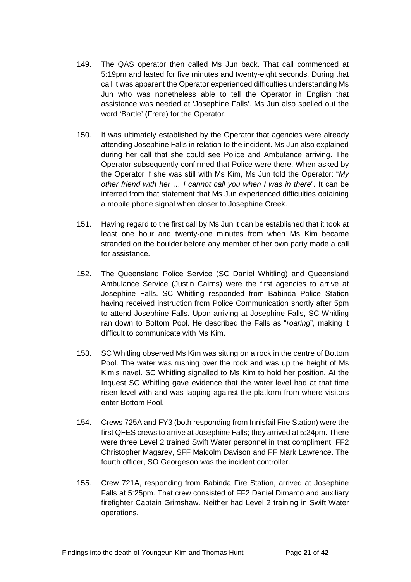- 149. The QAS operator then called Ms Jun back. That call commenced at 5:19pm and lasted for five minutes and twenty‐eight seconds. During that call it was apparent the Operator experienced difficulties understanding Ms Jun who was nonetheless able to tell the Operator in English that assistance was needed at 'Josephine Falls'. Ms Jun also spelled out the word 'Bartle' (Frere) for the Operator.
- 150. It was ultimately established by the Operator that agencies were already attending Josephine Falls in relation to the incident. Ms Jun also explained during her call that she could see Police and Ambulance arriving. The Operator subsequently confirmed that Police were there. When asked by the Operator if she was still with Ms Kim, Ms Jun told the Operator: "*My other friend with her … I cannot call you when I was in there*". It can be inferred from that statement that Ms Jun experienced difficulties obtaining a mobile phone signal when closer to Josephine Creek.
- 151. Having regard to the first call by Ms Jun it can be established that it took at least one hour and twenty‐one minutes from when Ms Kim became stranded on the boulder before any member of her own party made a call for assistance.
- 152. The Queensland Police Service (SC Daniel Whitling) and Queensland Ambulance Service (Justin Cairns) were the first agencies to arrive at Josephine Falls. SC Whitling responded from Babinda Police Station having received instruction from Police Communication shortly after 5pm to attend Josephine Falls. Upon arriving at Josephine Falls, SC Whitling ran down to Bottom Pool. He described the Falls as "*roaring*", making it difficult to communicate with Ms Kim.
- 153. SC Whitling observed Ms Kim was sitting on a rock in the centre of Bottom Pool. The water was rushing over the rock and was up the height of Ms Kim's navel. SC Whitling signalled to Ms Kim to hold her position. At the Inquest SC Whitling gave evidence that the water level had at that time risen level with and was lapping against the platform from where visitors enter Bottom Pool.
- 154. Crews 725A and FY3 (both responding from Innisfail Fire Station) were the first QFES crews to arrive at Josephine Falls; they arrived at 5:24pm. There were three Level 2 trained Swift Water personnel in that compliment, FF2 Christopher Magarey, SFF Malcolm Davison and FF Mark Lawrence. The fourth officer, SO Georgeson was the incident controller.
- 155. Crew 721A, responding from Babinda Fire Station, arrived at Josephine Falls at 5:25pm. That crew consisted of FF2 Daniel Dimarco and auxiliary firefighter Captain Grimshaw. Neither had Level 2 training in Swift Water operations.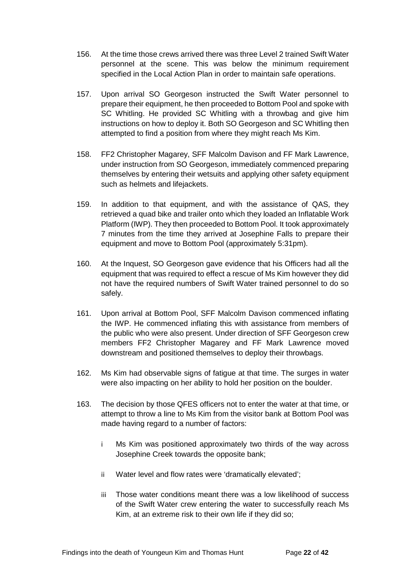- 156. At the time those crews arrived there was three Level 2 trained Swift Water personnel at the scene. This was below the minimum requirement specified in the Local Action Plan in order to maintain safe operations.
- 157. Upon arrival SO Georgeson instructed the Swift Water personnel to prepare their equipment, he then proceeded to Bottom Pool and spoke with SC Whitling. He provided SC Whitling with a throwbag and give him instructions on how to deploy it. Both SO Georgeson and SC Whitling then attempted to find a position from where they might reach Ms Kim.
- 158. FF2 Christopher Magarey, SFF Malcolm Davison and FF Mark Lawrence, under instruction from SO Georgeson, immediately commenced preparing themselves by entering their wetsuits and applying other safety equipment such as helmets and lifejackets.
- 159. In addition to that equipment, and with the assistance of QAS, they retrieved a quad bike and trailer onto which they loaded an Inflatable Work Platform (IWP). They then proceeded to Bottom Pool. It took approximately 7 minutes from the time they arrived at Josephine Falls to prepare their equipment and move to Bottom Pool (approximately 5:31pm).
- 160. At the Inquest, SO Georgeson gave evidence that his Officers had all the equipment that was required to effect a rescue of Ms Kim however they did not have the required numbers of Swift Water trained personnel to do so safely.
- 161. Upon arrival at Bottom Pool, SFF Malcolm Davison commenced inflating the IWP. He commenced inflating this with assistance from members of the public who were also present. Under direction of SFF Georgeson crew members FF2 Christopher Magarey and FF Mark Lawrence moved downstream and positioned themselves to deploy their throwbags.
- 162. Ms Kim had observable signs of fatigue at that time. The surges in water were also impacting on her ability to hold her position on the boulder.
- 163. The decision by those QFES officers not to enter the water at that time, or attempt to throw a line to Ms Kim from the visitor bank at Bottom Pool was made having regard to a number of factors:
	- i Ms Kim was positioned approximately two thirds of the way across Josephine Creek towards the opposite bank;
	- ii Water level and flow rates were 'dramatically elevated';
	- iii Those water conditions meant there was a low likelihood of success of the Swift Water crew entering the water to successfully reach Ms Kim, at an extreme risk to their own life if they did so;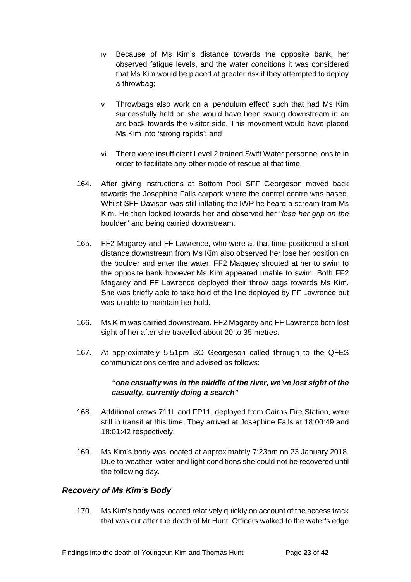- iv Because of Ms Kim's distance towards the opposite bank, her observed fatigue levels, and the water conditions it was considered that Ms Kim would be placed at greater risk if they attempted to deploy a throwbag;
- v Throwbags also work on a 'pendulum effect' such that had Ms Kim successfully held on she would have been swung downstream in an arc back towards the visitor side. This movement would have placed Ms Kim into 'strong rapids'; and
- vi There were insufficient Level 2 trained Swift Water personnel onsite in order to facilitate any other mode of rescue at that time.
- 164. After giving instructions at Bottom Pool SFF Georgeson moved back towards the Josephine Falls carpark where the control centre was based. Whilst SFF Davison was still inflating the IWP he heard a scream from Ms Kim. He then looked towards her and observed her "*lose her grip on the*  boulder" and being carried downstream.
- 165. FF2 Magarey and FF Lawrence, who were at that time positioned a short distance downstream from Ms Kim also observed her lose her position on the boulder and enter the water. FF2 Magarey shouted at her to swim to the opposite bank however Ms Kim appeared unable to swim. Both FF2 Magarey and FF Lawrence deployed their throw bags towards Ms Kim. She was briefly able to take hold of the line deployed by FF Lawrence but was unable to maintain her hold.
- 166. Ms Kim was carried downstream. FF2 Magarey and FF Lawrence both lost sight of her after she travelled about 20 to 35 metres.
- 167. At approximately 5:51pm SO Georgeson called through to the QFES communications centre and advised as follows:

#### *"one casualty was in the middle of the river, we've lost sight of the casualty, currently doing a search"*

- 168. Additional crews 711L and FP11, deployed from Cairns Fire Station, were still in transit at this time. They arrived at Josephine Falls at 18:00:49 and 18:01:42 respectively.
- 169. Ms Kim's body was located at approximately 7:23pm on 23 January 2018. Due to weather, water and light conditions she could not be recovered until the following day.

#### <span id="page-26-0"></span>*Recovery of Ms Kim's Body*

170. Ms Kim's body was located relatively quickly on account of the access track that was cut after the death of Mr Hunt. Officers walked to the water's edge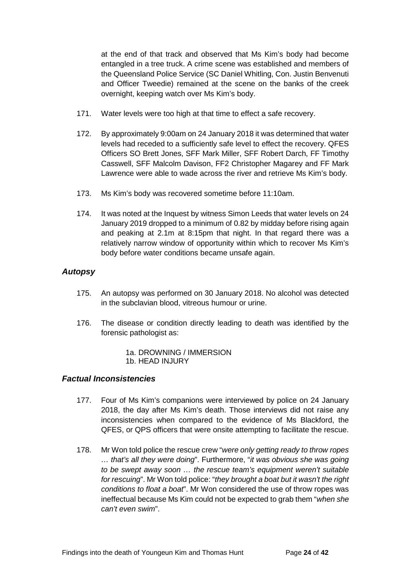at the end of that track and observed that Ms Kim's body had become entangled in a tree truck. A crime scene was established and members of the Queensland Police Service (SC Daniel Whitling, Con. Justin Benvenuti and Officer Tweedie) remained at the scene on the banks of the creek overnight, keeping watch over Ms Kim's body.

- 171. Water levels were too high at that time to effect a safe recovery.
- 172. By approximately 9:00am on 24 January 2018 it was determined that water levels had receded to a sufficiently safe level to effect the recovery. QFES Officers SO Brett Jones, SFF Mark Miller, SFF Robert Darch, FF Timothy Casswell, SFF Malcolm Davison, FF2 Christopher Magarey and FF Mark Lawrence were able to wade across the river and retrieve Ms Kim's body.
- 173. Ms Kim's body was recovered sometime before 11:10am.
- 174. It was noted at the Inquest by witness Simon Leeds that water levels on 24 January 2019 dropped to a minimum of 0.82 by midday before rising again and peaking at 2.1m at 8:15pm that night. In that regard there was a relatively narrow window of opportunity within which to recover Ms Kim's body before water conditions became unsafe again.

#### <span id="page-27-0"></span>*Autopsy*

- 175. An autopsy was performed on 30 January 2018. No alcohol was detected in the subclavian blood, vitreous humour or urine.
- 176. The disease or condition directly leading to death was identified by the forensic pathologist as:
	- 1a. DROWNING / IMMERSION
	- 1b. HEAD INJURY

#### <span id="page-27-1"></span>*Factual Inconsistencies*

- 177. Four of Ms Kim's companions were interviewed by police on 24 January 2018, the day after Ms Kim's death. Those interviews did not raise any inconsistencies when compared to the evidence of Ms Blackford, the QFES, or QPS officers that were onsite attempting to facilitate the rescue.
- 178. Mr Won told police the rescue crew "*were only getting ready to throw ropes … that's all they were doing*". Furthermore, "*it was obvious she was going to be swept away soon … the rescue team's equipment weren't suitable for rescuing*". Mr Won told police: "*they brought a boat but it wasn't the right conditions to float a boat*". Mr Won considered the use of throw ropes was ineffectual because Ms Kim could not be expected to grab them "*when she can't even swim*".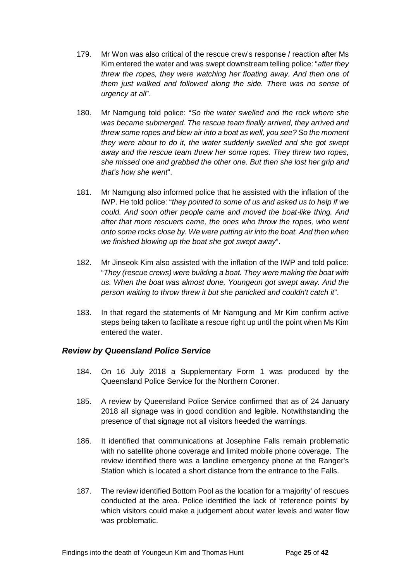- 179. Mr Won was also critical of the rescue crew's response / reaction after Ms Kim entered the water and was swept downstream telling police: "*after they threw the ropes, they were watching her floating away. And then one of them just walked and followed along the side. There was no sense of urgency at all*".
- 180. Mr Namgung told police: "*So the water swelled and the rock where she was became submerged. The rescue team finally arrived, they arrived and threw some ropes and blew air into a boat as well, you see? So the moment they were about to do it, the water suddenly swelled and she got swept away and the rescue team threw her some ropes. They threw two ropes, she missed one and grabbed the other one. But then she lost her grip and that's how she went*".
- 181. Mr Namgung also informed police that he assisted with the inflation of the IWP. He told police: "*they pointed to some of us and asked us to help if we could. And soon other people came and moved the boat*‐*like thing. And after that more rescuers came, the ones who throw the ropes, who went onto some rocks close by. We were putting air into the boat. And then when we finished blowing up the boat she got swept away*".
- 182. Mr Jinseok Kim also assisted with the inflation of the IWP and told police: "*They (rescue crews) were building a boat. They were making the boat with us. When the boat was almost done, Youngeun got swept away. And the person waiting to throw threw it but she panicked and couldn't catch it*".
- 183. In that regard the statements of Mr Namgung and Mr Kim confirm active steps being taken to facilitate a rescue right up until the point when Ms Kim entered the water.

#### <span id="page-28-0"></span>*Review by Queensland Police Service*

- 184. On 16 July 2018 a Supplementary Form 1 was produced by the Queensland Police Service for the Northern Coroner.
- 185. A review by Queensland Police Service confirmed that as of 24 January 2018 all signage was in good condition and legible. Notwithstanding the presence of that signage not all visitors heeded the warnings.
- 186. It identified that communications at Josephine Falls remain problematic with no satellite phone coverage and limited mobile phone coverage. The review identified there was a landline emergency phone at the Ranger's Station which is located a short distance from the entrance to the Falls.
- 187. The review identified Bottom Pool as the location for a 'majority' of rescues conducted at the area. Police identified the lack of 'reference points' by which visitors could make a judgement about water levels and water flow was problematic.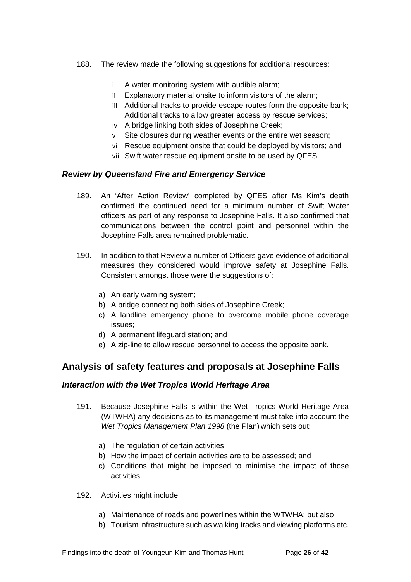- 188. The review made the following suggestions for additional resources:
	- i A water monitoring system with audible alarm;
	- ii Explanatory material onsite to inform visitors of the alarm;
	- iii Additional tracks to provide escape routes form the opposite bank; Additional tracks to allow greater access by rescue services;
	- iv A bridge linking both sides of Josephine Creek;
	- v Site closures during weather events or the entire wet season;
	- vi Rescue equipment onsite that could be deployed by visitors; and
	- vii Swift water rescue equipment onsite to be used by QFES.

#### <span id="page-29-0"></span>*Review by Queensland Fire and Emergency Service*

- 189. An 'After Action Review' completed by QFES after Ms Kim's death confirmed the continued need for a minimum number of Swift Water officers as part of any response to Josephine Falls. It also confirmed that communications between the control point and personnel within the Josephine Falls area remained problematic.
- 190. In addition to that Review a number of Officers gave evidence of additional measures they considered would improve safety at Josephine Falls. Consistent amongst those were the suggestions of:
	- a) An early warning system;
	- b) A bridge connecting both sides of Josephine Creek;
	- c) A landline emergency phone to overcome mobile phone coverage issues;
	- d) A permanent lifeguard station; and
	- e) A zip-line to allow rescue personnel to access the opposite bank.

## <span id="page-29-1"></span>**Analysis of safety features and proposals at Josephine Falls**

#### <span id="page-29-2"></span>*Interaction with the Wet Tropics World Heritage Area*

- 191. Because Josephine Falls is within the Wet Tropics World Heritage Area (WTWHA) any decisions as to its management must take into account the *Wet Tropics Management Plan 1998* (the Plan) which sets out:
	- a) The regulation of certain activities;
	- b) How the impact of certain activities are to be assessed; and
	- c) Conditions that might be imposed to minimise the impact of those activities.
- 192. Activities might include:
	- a) Maintenance of roads and powerlines within the WTWHA; but also
	- b) Tourism infrastructure such as walking tracks and viewing platforms etc.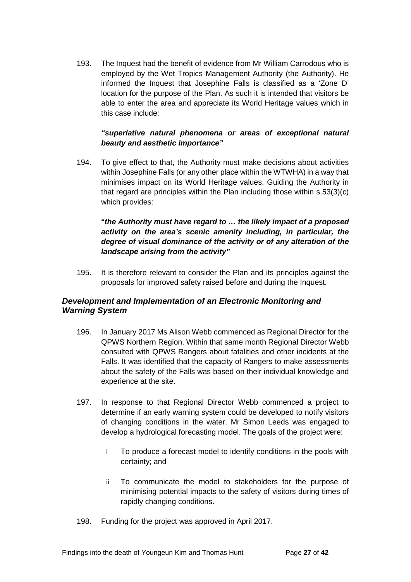193. The Inquest had the benefit of evidence from Mr William Carrodous who is employed by the Wet Tropics Management Authority (the Authority). He informed the Inquest that Josephine Falls is classified as a 'Zone D' location for the purpose of the Plan. As such it is intended that visitors be able to enter the area and appreciate its World Heritage values which in this case include:

#### *"superlative natural phenomena or areas of exceptional natural beauty and aesthetic importance"*

194. To give effect to that, the Authority must make decisions about activities within Josephine Falls (or any other place within the WTWHA) in a way that minimises impact on its World Heritage values. Guiding the Authority in that regard are principles within the Plan including those within s.53(3)(c) which provides:

#### *"the Authority must have regard to … the likely impact of a proposed activity on the area's scenic amenity including, in particular, the degree of visual dominance of the activity or of any alteration of the landscape arising from the activity"*

195. It is therefore relevant to consider the Plan and its principles against the proposals for improved safety raised before and during the Inquest.

#### <span id="page-30-0"></span>*Development and Implementation of an Electronic Monitoring and Warning System*

- 196. In January 2017 Ms Alison Webb commenced as Regional Director for the QPWS Northern Region. Within that same month Regional Director Webb consulted with QPWS Rangers about fatalities and other incidents at the Falls. It was identified that the capacity of Rangers to make assessments about the safety of the Falls was based on their individual knowledge and experience at the site.
- 197. In response to that Regional Director Webb commenced a project to determine if an early warning system could be developed to notify visitors of changing conditions in the water. Mr Simon Leeds was engaged to develop a hydrological forecasting model. The goals of the project were:
	- i To produce a forecast model to identify conditions in the pools with certainty; and
	- ii To communicate the model to stakeholders for the purpose of minimising potential impacts to the safety of visitors during times of rapidly changing conditions.
- 198. Funding for the project was approved in April 2017.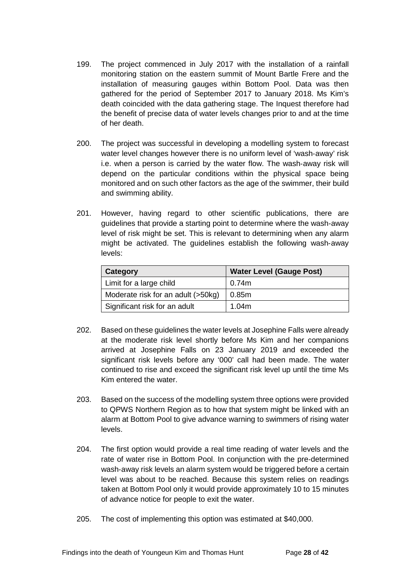- 199. The project commenced in July 2017 with the installation of a rainfall monitoring station on the eastern summit of Mount Bartle Frere and the installation of measuring gauges within Bottom Pool. Data was then gathered for the period of September 2017 to January 2018. Ms Kim's death coincided with the data gathering stage. The Inquest therefore had the benefit of precise data of water levels changes prior to and at the time of her death.
- 200. The project was successful in developing a modelling system to forecast water level changes however there is no uniform level of 'wash-away' risk i.e. when a person is carried by the water flow. The wash‐away risk will depend on the particular conditions within the physical space being monitored and on such other factors as the age of the swimmer, their build and swimming ability.
- 201. However, having regard to other scientific publications, there are guidelines that provide a starting point to determine where the wash‐away level of risk might be set. This is relevant to determining when any alarm might be activated. The guidelines establish the following wash‐away levels:

| Category                           | <b>Water Level (Gauge Post)</b> |  |
|------------------------------------|---------------------------------|--|
| Limit for a large child            | 0.74m                           |  |
| Moderate risk for an adult (>50kg) | 0.85m                           |  |
| Significant risk for an adult      | 1.04m                           |  |

- 202. Based on these guidelines the water levels at Josephine Falls were already at the moderate risk level shortly before Ms Kim and her companions arrived at Josephine Falls on 23 January 2019 and exceeded the significant risk levels before any '000' call had been made. The water continued to rise and exceed the significant risk level up until the time Ms Kim entered the water.
- 203. Based on the success of the modelling system three options were provided to QPWS Northern Region as to how that system might be linked with an alarm at Bottom Pool to give advance warning to swimmers of rising water levels.
- 204. The first option would provide a real time reading of water levels and the rate of water rise in Bottom Pool. In conjunction with the pre‐determined wash‐away risk levels an alarm system would be triggered before a certain level was about to be reached. Because this system relies on readings taken at Bottom Pool only it would provide approximately 10 to 15 minutes of advance notice for people to exit the water.
- 205. The cost of implementing this option was estimated at \$40,000.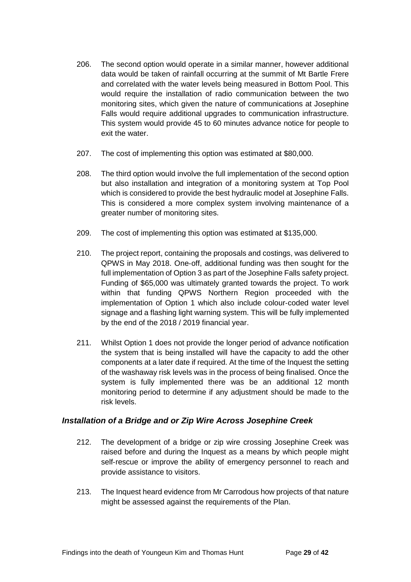- 206. The second option would operate in a similar manner, however additional data would be taken of rainfall occurring at the summit of Mt Bartle Frere and correlated with the water levels being measured in Bottom Pool. This would require the installation of radio communication between the two monitoring sites, which given the nature of communications at Josephine Falls would require additional upgrades to communication infrastructure. This system would provide 45 to 60 minutes advance notice for people to exit the water.
- 207. The cost of implementing this option was estimated at \$80,000.
- 208. The third option would involve the full implementation of the second option but also installation and integration of a monitoring system at Top Pool which is considered to provide the best hydraulic model at Josephine Falls. This is considered a more complex system involving maintenance of a greater number of monitoring sites.
- 209. The cost of implementing this option was estimated at \$135,000.
- 210. The project report, containing the proposals and costings, was delivered to QPWS in May 2018. One‐off, additional funding was then sought for the full implementation of Option 3 as part of the Josephine Falls safety project. Funding of \$65,000 was ultimately granted towards the project. To work within that funding QPWS Northern Region proceeded with the implementation of Option 1 which also include colour‐coded water level signage and a flashing light warning system. This will be fully implemented by the end of the 2018 / 2019 financial year.
- 211. Whilst Option 1 does not provide the longer period of advance notification the system that is being installed will have the capacity to add the other components at a later date if required. At the time of the Inquest the setting of the washaway risk levels was in the process of being finalised. Once the system is fully implemented there was be an additional 12 month monitoring period to determine if any adjustment should be made to the risk levels.

#### <span id="page-32-0"></span>*Installation of a Bridge and or Zip Wire Across Josephine Creek*

- 212. The development of a bridge or zip wire crossing Josephine Creek was raised before and during the Inquest as a means by which people might self-rescue or improve the ability of emergency personnel to reach and provide assistance to visitors.
- 213. The Inquest heard evidence from Mr Carrodous how projects of that nature might be assessed against the requirements of the Plan.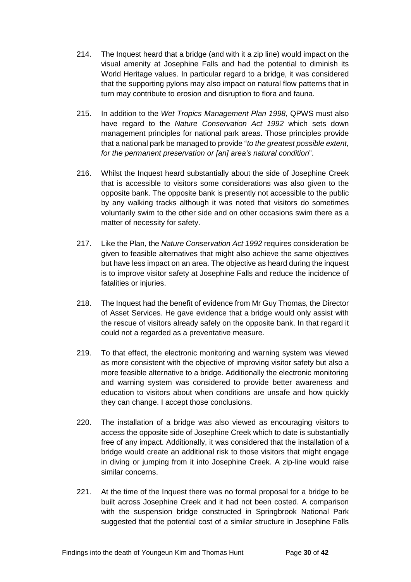- 214. The Inquest heard that a bridge (and with it a zip line) would impact on the visual amenity at Josephine Falls and had the potential to diminish its World Heritage values. In particular regard to a bridge, it was considered that the supporting pylons may also impact on natural flow patterns that in turn may contribute to erosion and disruption to flora and fauna.
- 215. In addition to the *Wet Tropics Management Plan 1998*, QPWS must also have regard to the *Nature Conservation Act 1992* which sets down management principles for national park areas. Those principles provide that a national park be managed to provide "*to the greatest possible extent, for the permanent preservation or [an] area's natural condition*".
- 216. Whilst the Inquest heard substantially about the side of Josephine Creek that is accessible to visitors some considerations was also given to the opposite bank. The opposite bank is presently not accessible to the public by any walking tracks although it was noted that visitors do sometimes voluntarily swim to the other side and on other occasions swim there as a matter of necessity for safety.
- 217. Like the Plan, the *Nature Conservation Act 1992* requires consideration be given to feasible alternatives that might also achieve the same objectives but have less impact on an area. The objective as heard during the inquest is to improve visitor safety at Josephine Falls and reduce the incidence of fatalities or injuries.
- 218. The Inquest had the benefit of evidence from Mr Guy Thomas, the Director of Asset Services. He gave evidence that a bridge would only assist with the rescue of visitors already safely on the opposite bank. In that regard it could not a regarded as a preventative measure.
- 219. To that effect, the electronic monitoring and warning system was viewed as more consistent with the objective of improving visitor safety but also a more feasible alternative to a bridge. Additionally the electronic monitoring and warning system was considered to provide better awareness and education to visitors about when conditions are unsafe and how quickly they can change. I accept those conclusions.
- 220. The installation of a bridge was also viewed as encouraging visitors to access the opposite side of Josephine Creek which to date is substantially free of any impact. Additionally, it was considered that the installation of a bridge would create an additional risk to those visitors that might engage in diving or jumping from it into Josephine Creek. A zip‐line would raise similar concerns.
- 221. At the time of the Inquest there was no formal proposal for a bridge to be built across Josephine Creek and it had not been costed. A comparison with the suspension bridge constructed in Springbrook National Park suggested that the potential cost of a similar structure in Josephine Falls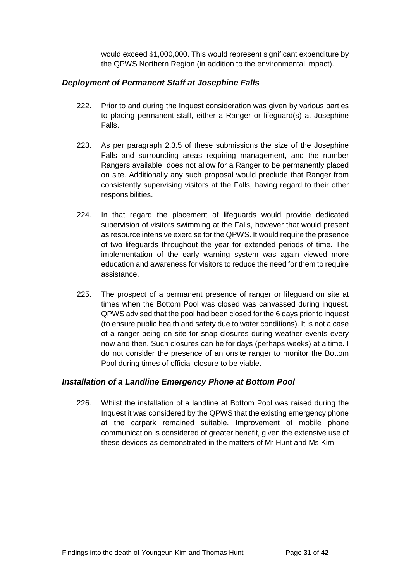would exceed \$1,000,000. This would represent significant expenditure by the QPWS Northern Region (in addition to the environmental impact).

#### <span id="page-34-0"></span>*Deployment of Permanent Staff at Josephine Falls*

- 222. Prior to and during the Inquest consideration was given by various parties to placing permanent staff, either a Ranger or lifeguard(s) at Josephine Falls.
- 223. As per paragraph 2.3.5 of these submissions the size of the Josephine Falls and surrounding areas requiring management, and the number Rangers available, does not allow for a Ranger to be permanently placed on site. Additionally any such proposal would preclude that Ranger from consistently supervising visitors at the Falls, having regard to their other responsibilities.
- 224. In that regard the placement of lifeguards would provide dedicated supervision of visitors swimming at the Falls, however that would present as resource intensive exercise for the QPWS. It would require the presence of two lifeguards throughout the year for extended periods of time. The implementation of the early warning system was again viewed more education and awareness for visitors to reduce the need for them to require assistance.
- 225. The prospect of a permanent presence of ranger or lifeguard on site at times when the Bottom Pool was closed was canvassed during inquest. QPWS advised that the pool had been closed for the 6 days prior to inquest (to ensure public health and safety due to water conditions). It is not a case of a ranger being on site for snap closures during weather events every now and then. Such closures can be for days (perhaps weeks) at a time. I do not consider the presence of an onsite ranger to monitor the Bottom Pool during times of official closure to be viable.

#### <span id="page-34-1"></span>*Installation of a Landline Emergency Phone at Bottom Pool*

226. Whilst the installation of a landline at Bottom Pool was raised during the Inquest it was considered by the QPWS that the existing emergency phone at the carpark remained suitable. Improvement of mobile phone communication is considered of greater benefit, given the extensive use of these devices as demonstrated in the matters of Mr Hunt and Ms Kim.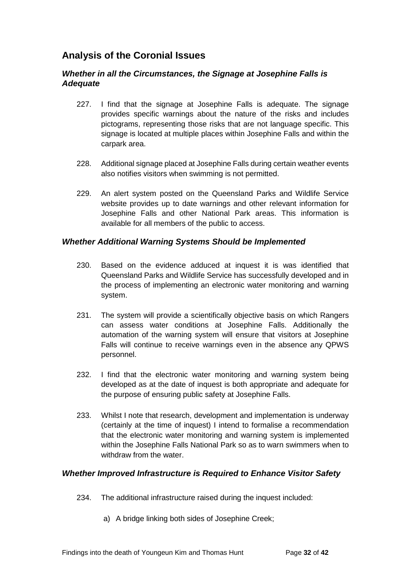# <span id="page-35-0"></span>**Analysis of the Coronial Issues**

#### <span id="page-35-1"></span>*Whether in all the Circumstances, the Signage at Josephine Falls is Adequate*

- 227. I find that the signage at Josephine Falls is adequate. The signage provides specific warnings about the nature of the risks and includes pictograms, representing those risks that are not language specific. This signage is located at multiple places within Josephine Falls and within the carpark area.
- 228. Additional signage placed at Josephine Falls during certain weather events also notifies visitors when swimming is not permitted.
- 229. An alert system posted on the Queensland Parks and Wildlife Service website provides up to date warnings and other relevant information for Josephine Falls and other National Park areas. This information is available for all members of the public to access.

#### <span id="page-35-2"></span>*Whether Additional Warning Systems Should be Implemented*

- 230. Based on the evidence adduced at inquest it is was identified that Queensland Parks and Wildlife Service has successfully developed and in the process of implementing an electronic water monitoring and warning system.
- 231. The system will provide a scientifically objective basis on which Rangers can assess water conditions at Josephine Falls. Additionally the automation of the warning system will ensure that visitors at Josephine Falls will continue to receive warnings even in the absence any QPWS personnel.
- 232. I find that the electronic water monitoring and warning system being developed as at the date of inquest is both appropriate and adequate for the purpose of ensuring public safety at Josephine Falls.
- 233. Whilst I note that research, development and implementation is underway (certainly at the time of inquest) I intend to formalise a recommendation that the electronic water monitoring and warning system is implemented within the Josephine Falls National Park so as to warn swimmers when to withdraw from the water.

#### <span id="page-35-3"></span>*Whether Improved Infrastructure is Required to Enhance Visitor Safety*

- 234. The additional infrastructure raised during the inquest included:
	- a) A bridge linking both sides of Josephine Creek;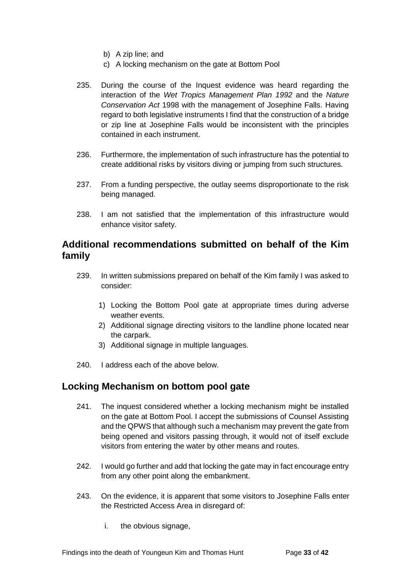- b) A zip line; and
- c) A locking mechanism on the gate at Bottom Pool
- 235. During the course of the Inquest evidence was heard regarding the interaction of the *Wet Tropics Management Plan 1992* and the *Nature Conservation Act* 1998 with the management of Josephine Falls. Having regard to both legislative instruments I find that the construction of a bridge or zip line at Josephine Falls would be inconsistent with the principles contained in each instrument.
- 236. Furthermore, the implementation of such infrastructure has the potential to create additional risks by visitors diving or jumping from such structures.
- 237. From a funding perspective, the outlay seems disproportionate to the risk being managed.
- 238. I am not satisfied that the implementation of this infrastructure would enhance visitor safety.

## <span id="page-36-0"></span>**Additional recommendations submitted on behalf of the Kim family**

- 239. In written submissions prepared on behalf of the Kim family I was asked to consider:
	- 1) Locking the Bottom Pool gate at appropriate times during adverse weather events.
	- 2) Additional signage directing visitors to the landline phone located near the carpark.
	- 3) Additional signage in multiple languages.
- 240. I address each of the above below.

## <span id="page-36-1"></span>**Locking Mechanism on bottom pool gate**

- 241. The inquest considered whether a locking mechanism might be installed on the gate at Bottom Pool. I accept the submissions of Counsel Assisting and the QPWS that although such a mechanism may prevent the gate from being opened and visitors passing through, it would not of itself exclude visitors from entering the water by other means and routes.
- 242. I would go further and add that locking the gate may in fact encourage entry from any other point along the embankment.
- 243. On the evidence, it is apparent that some visitors to Josephine Falls enter the Restricted Access Area in disregard of:
	- i. the obvious signage,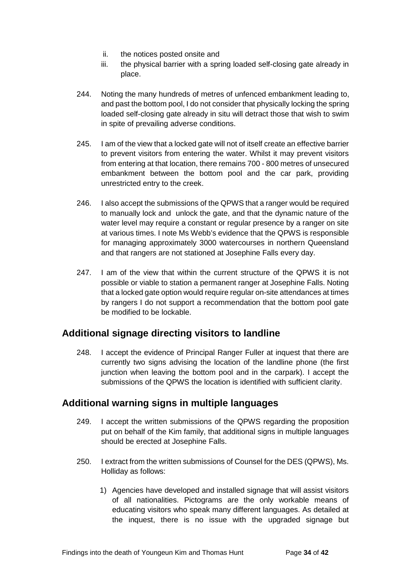- ii. the notices posted onsite and
- iii. the physical barrier with a spring loaded self-closing gate already in place.
- 244. Noting the many hundreds of metres of unfenced embankment leading to, and past the bottom pool, I do not consider that physically locking the spring loaded self-closing gate already in situ will detract those that wish to swim in spite of prevailing adverse conditions.
- 245. I am of the view that a locked gate will not of itself create an effective barrier to prevent visitors from entering the water. Whilst it may prevent visitors from entering at that location, there remains 700 - 800 metres of unsecured embankment between the bottom pool and the car park, providing unrestricted entry to the creek.
- 246. I also accept the submissions of the QPWS that a ranger would be required to manually lock and unlock the gate, and that the dynamic nature of the water level may require a constant or regular presence by a ranger on site at various times. I note Ms Webb's evidence that the QPWS is responsible for managing approximately 3000 watercourses in northern Queensland and that rangers are not stationed at Josephine Falls every day.
- 247. I am of the view that within the current structure of the QPWS it is not possible or viable to station a permanent ranger at Josephine Falls. Noting that a locked gate option would require regular on-site attendances at times by rangers I do not support a recommendation that the bottom pool gate be modified to be lockable.

# <span id="page-37-0"></span>**Additional signage directing visitors to landline**

248. I accept the evidence of Principal Ranger Fuller at inquest that there are currently two signs advising the location of the landline phone (the first junction when leaving the bottom pool and in the carpark). I accept the submissions of the QPWS the location is identified with sufficient clarity.

# <span id="page-37-1"></span>**Additional warning signs in multiple languages**

- 249. I accept the written submissions of the QPWS regarding the proposition put on behalf of the Kim family, that additional signs in multiple languages should be erected at Josephine Falls.
- 250. I extract from the written submissions of Counsel for the DES (QPWS), Ms. Holliday as follows:
	- 1) Agencies have developed and installed signage that will assist visitors of all nationalities. Pictograms are the only workable means of educating visitors who speak many different languages. As detailed at the inquest, there is no issue with the upgraded signage but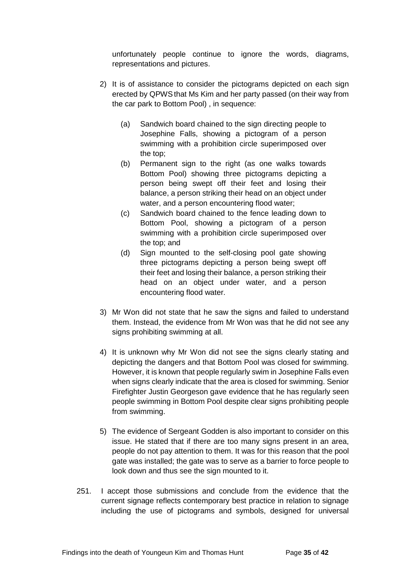unfortunately people continue to ignore the words, diagrams, representations and pictures.

- 2) It is of assistance to consider the pictograms depicted on each sign erected by QPWSthat Ms Kim and her party passed (on their way from the car park to Bottom Pool) , in sequence:
	- (a) Sandwich board chained to the sign directing people to Josephine Falls, showing a pictogram of a person swimming with a prohibition circle superimposed over the top;
	- (b) Permanent sign to the right (as one walks towards Bottom Pool) showing three pictograms depicting a person being swept off their feet and losing their balance, a person striking their head on an object under water, and a person encountering flood water;
	- (c) Sandwich board chained to the fence leading down to Bottom Pool, showing a pictogram of a person swimming with a prohibition circle superimposed over the top; and
	- (d) Sign mounted to the self-closing pool gate showing three pictograms depicting a person being swept off their feet and losing their balance, a person striking their head on an object under water, and a person encountering flood water.
- 3) Mr Won did not state that he saw the signs and failed to understand them. Instead, the evidence from Mr Won was that he did not see any signs prohibiting swimming at all.
- 4) It is unknown why Mr Won did not see the signs clearly stating and depicting the dangers and that Bottom Pool was closed for swimming. However, it is known that people regularly swim in Josephine Falls even when signs clearly indicate that the area is closed for swimming. Senior Firefighter Justin Georgeson gave evidence that he has regularly seen people swimming in Bottom Pool despite clear signs prohibiting people from swimming.
- 5) The evidence of Sergeant Godden is also important to consider on this issue. He stated that if there are too many signs present in an area, people do not pay attention to them. It was for this reason that the pool gate was installed; the gate was to serve as a barrier to force people to look down and thus see the sign mounted to it.
- 251. I accept those submissions and conclude from the evidence that the current signage reflects contemporary best practice in relation to signage including the use of pictograms and symbols, designed for universal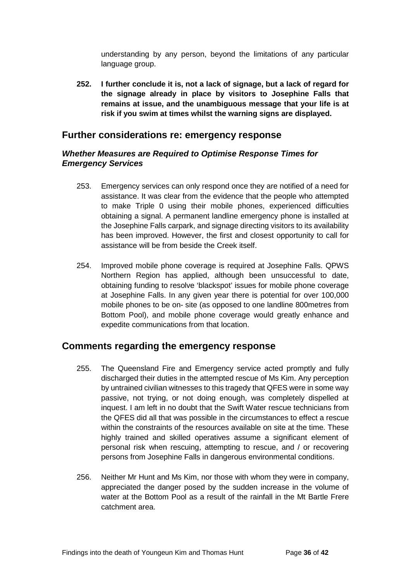understanding by any person, beyond the limitations of any particular language group.

**252. I further conclude it is, not a lack of signage, but a lack of regard for the signage already in place by visitors to Josephine Falls that remains at issue, and the unambiguous message that your life is at risk if you swim at times whilst the warning signs are displayed.**

#### <span id="page-39-0"></span>**Further considerations re: emergency response**

#### <span id="page-39-1"></span>*Whether Measures are Required to Optimise Response Times for Emergency Services*

- 253. Emergency services can only respond once they are notified of a need for assistance. It was clear from the evidence that the people who attempted to make Triple 0 using their mobile phones, experienced difficulties obtaining a signal. A permanent landline emergency phone is installed at the Josephine Falls carpark, and signage directing visitors to its availability has been improved. However, the first and closest opportunity to call for assistance will be from beside the Creek itself.
- 254. Improved mobile phone coverage is required at Josephine Falls. QPWS Northern Region has applied, although been unsuccessful to date, obtaining funding to resolve 'blackspot' issues for mobile phone coverage at Josephine Falls. In any given year there is potential for over 100,000 mobile phones to be on- site (as opposed to one landline 800metres from Bottom Pool), and mobile phone coverage would greatly enhance and expedite communications from that location.

#### <span id="page-39-2"></span>**Comments regarding the emergency response**

- 255. The Queensland Fire and Emergency service acted promptly and fully discharged their duties in the attempted rescue of Ms Kim. Any perception by untrained civilian witnesses to this tragedy that QFES were in some way passive, not trying, or not doing enough, was completely dispelled at inquest. I am left in no doubt that the Swift Water rescue technicians from the QFES did all that was possible in the circumstances to effect a rescue within the constraints of the resources available on site at the time. These highly trained and skilled operatives assume a significant element of personal risk when rescuing, attempting to rescue, and / or recovering persons from Josephine Falls in dangerous environmental conditions.
- 256. Neither Mr Hunt and Ms Kim, nor those with whom they were in company, appreciated the danger posed by the sudden increase in the volume of water at the Bottom Pool as a result of the rainfall in the Mt Bartle Frere catchment area.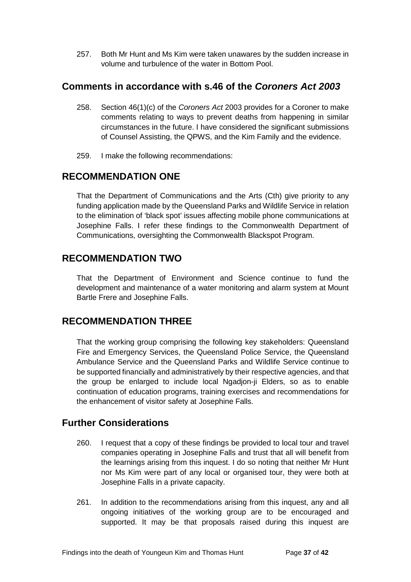257. Both Mr Hunt and Ms Kim were taken unawares by the sudden increase in volume and turbulence of the water in Bottom Pool.

## <span id="page-40-0"></span>**Comments in accordance with s.46 of the** *Coroners Act 2003*

- 258. Section 46(1)(c) of the *Coroners Act* 2003 provides for a Coroner to make comments relating to ways to prevent deaths from happening in similar circumstances in the future. I have considered the significant submissions of Counsel Assisting, the QPWS, and the Kim Family and the evidence.
- 259. I make the following recommendations:

# <span id="page-40-1"></span>**RECOMMENDATION ONE**

That the Department of Communications and the Arts (Cth) give priority to any funding application made by the Queensland Parks and Wildlife Service in relation to the elimination of 'black spot' issues affecting mobile phone communications at Josephine Falls. I refer these findings to the Commonwealth Department of Communications, oversighting the Commonwealth Blackspot Program.

## <span id="page-40-2"></span>**RECOMMENDATION TWO**

That the Department of Environment and Science continue to fund the development and maintenance of a water monitoring and alarm system at Mount Bartle Frere and Josephine Falls.

# <span id="page-40-3"></span>**RECOMMENDATION THREE**

That the working group comprising the following key stakeholders: Queensland Fire and Emergency Services, the Queensland Police Service, the Queensland Ambulance Service and the Queensland Parks and Wildlife Service continue to be supported financially and administratively by their respective agencies, and that the group be enlarged to include local Ngadjon-ji Elders, so as to enable continuation of education programs, training exercises and recommendations for the enhancement of visitor safety at Josephine Falls.

# <span id="page-40-4"></span>**Further Considerations**

- 260. I request that a copy of these findings be provided to local tour and travel companies operating in Josephine Falls and trust that all will benefit from the learnings arising from this inquest. I do so noting that neither Mr Hunt nor Ms Kim were part of any local or organised tour, they were both at Josephine Falls in a private capacity.
- 261. In addition to the recommendations arising from this inquest, any and all ongoing initiatives of the working group are to be encouraged and supported. It may be that proposals raised during this inquest are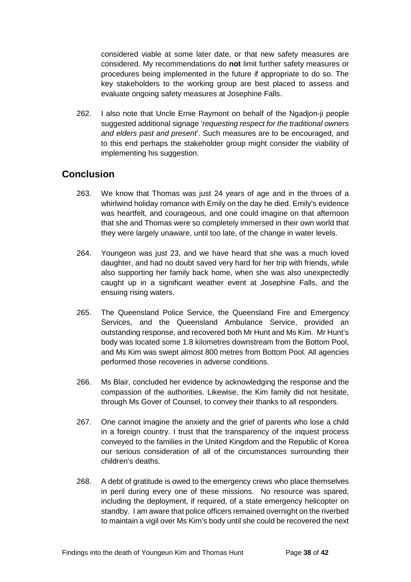considered viable at some later date, or that new safety measures are considered. My recommendations do **not** limit further safety measures or procedures being implemented in the future if appropriate to do so. The key stakeholders to the working group are best placed to assess and evaluate ongoing safety measures at Josephine Falls.

262. I also note that Uncle Ernie Raymont on behalf of the Ngadjon-ji people suggested additional signage '*requesting respect for the traditional owners and elders past and present*'. Such measures are to be encouraged, and to this end perhaps the stakeholder group might consider the viability of implementing his suggestion.

## <span id="page-41-0"></span>**Conclusion**

- 263. We know that Thomas was just 24 years of age and in the throes of a whirlwind holiday romance with Emily on the day he died. Emily's evidence was heartfelt, and courageous, and one could imagine on that afternoon that she and Thomas were so completely immersed in their own world that they were largely unaware, until too late, of the change in water levels.
- 264. Youngeon was just 23, and we have heard that she was a much loved daughter, and had no doubt saved very hard for her trip with friends, while also supporting her family back home, when she was also unexpectedly caught up in a significant weather event at Josephine Falls, and the ensuing rising waters.
- 265. The Queensland Police Service, the Queensland Fire and Emergency Services, and the Queensland Ambulance Service, provided an outstanding response, and recovered both Mr Hunt and Ms Kim. Mr Hunt's body was located some 1.8 kilometres downstream from the Bottom Pool, and Ms Kim was swept almost 800 metres from Bottom Pool. All agencies performed those recoveries in adverse conditions.
- 266. Ms Blair, concluded her evidence by acknowledging the response and the compassion of the authorities. Likewise, the Kim family did not hesitate, through Ms Gover of Counsel, to convey their thanks to all responders.
- 267. One cannot imagine the anxiety and the grief of parents who lose a child in a foreign country. I trust that the transparency of the inquest process conveyed to the families in the United Kingdom and the Republic of Korea our serious consideration of all of the circumstances surrounding their children's deaths.
- 268. A debt of gratitude is owed to the emergency crews who place themselves in peril during every one of these missions. No resource was spared, including the deployment, if required, of a state emergency helicopter on standby. I am aware that police officers remained overnight on the riverbed to maintain a vigil over Ms Kim's body until she could be recovered the next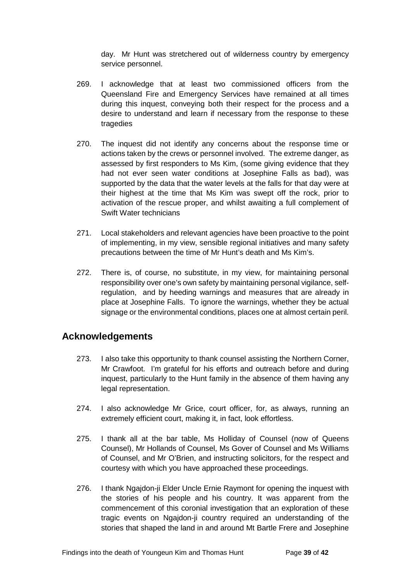day. Mr Hunt was stretchered out of wilderness country by emergency service personnel.

- 269. I acknowledge that at least two commissioned officers from the Queensland Fire and Emergency Services have remained at all times during this inquest, conveying both their respect for the process and a desire to understand and learn if necessary from the response to these tragedies
- 270. The inquest did not identify any concerns about the response time or actions taken by the crews or personnel involved. The extreme danger, as assessed by first responders to Ms Kim, (some giving evidence that they had not ever seen water conditions at Josephine Falls as bad), was supported by the data that the water levels at the falls for that day were at their highest at the time that Ms Kim was swept off the rock, prior to activation of the rescue proper, and whilst awaiting a full complement of Swift Water technicians
- 271. Local stakeholders and relevant agencies have been proactive to the point of implementing, in my view, sensible regional initiatives and many safety precautions between the time of Mr Hunt's death and Ms Kim's.
- 272. There is, of course, no substitute, in my view, for maintaining personal responsibility over one's own safety by maintaining personal vigilance, selfregulation, and by heeding warnings and measures that are already in place at Josephine Falls. To ignore the warnings, whether they be actual signage or the environmental conditions, places one at almost certain peril.

# <span id="page-42-0"></span>**Acknowledgements**

- 273. I also take this opportunity to thank counsel assisting the Northern Corner, Mr Crawfoot. I'm grateful for his efforts and outreach before and during inquest, particularly to the Hunt family in the absence of them having any legal representation.
- 274. I also acknowledge Mr Grice, court officer, for, as always, running an extremely efficient court, making it, in fact, look effortless.
- 275. I thank all at the bar table, Ms Holliday of Counsel (now of Queens Counsel), Mr Hollands of Counsel, Ms Gover of Counsel and Ms Williams of Counsel, and Mr O'Brien, and instructing solicitors, for the respect and courtesy with which you have approached these proceedings.
- 276. I thank Ngajdon-ji Elder Uncle Ernie Raymont for opening the inquest with the stories of his people and his country. It was apparent from the commencement of this coronial investigation that an exploration of these tragic events on Ngajdon-ji country required an understanding of the stories that shaped the land in and around Mt Bartle Frere and Josephine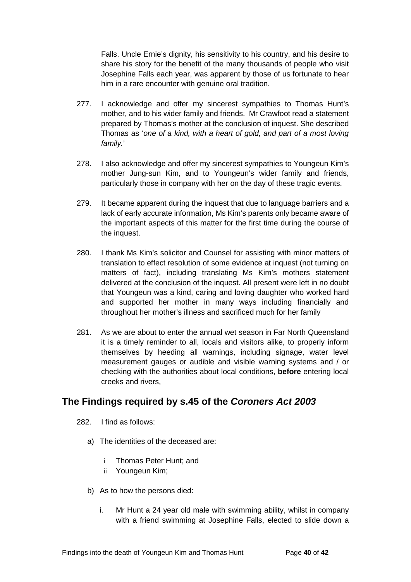Falls. Uncle Ernie's dignity, his sensitivity to his country, and his desire to share his story for the benefit of the many thousands of people who visit Josephine Falls each year, was apparent by those of us fortunate to hear him in a rare encounter with genuine oral tradition.

- 277. I acknowledge and offer my sincerest sympathies to Thomas Hunt's mother, and to his wider family and friends. Mr Crawfoot read a statement prepared by Thomas's mother at the conclusion of inquest. She described Thomas as '*one of a kind, with a heart of gold, and part of a most loving family.*'
- 278. I also acknowledge and offer my sincerest sympathies to Youngeun Kim's mother Jung-sun Kim, and to Youngeun's wider family and friends, particularly those in company with her on the day of these tragic events.
- 279. It became apparent during the inquest that due to language barriers and a lack of early accurate information, Ms Kim's parents only became aware of the important aspects of this matter for the first time during the course of the inquest.
- 280. I thank Ms Kim's solicitor and Counsel for assisting with minor matters of translation to effect resolution of some evidence at inquest (not turning on matters of fact), including translating Ms Kim's mothers statement delivered at the conclusion of the inquest. All present were left in no doubt that Youngeun was a kind, caring and loving daughter who worked hard and supported her mother in many ways including financially and throughout her mother's illness and sacrificed much for her family
- 281. As we are about to enter the annual wet season in Far North Queensland it is a timely reminder to all, locals and visitors alike, to properly inform themselves by heeding all warnings, including signage, water level measurement gauges or audible and visible warning systems and / or checking with the authorities about local conditions, **before** entering local creeks and rivers,

# <span id="page-43-0"></span>**The Findings required by s.45 of the** *Coroners Act 2003*

- 282. I find as follows:
	- a) The identities of the deceased are:
		- i Thomas Peter Hunt; and
		- ii Youngeun Kim;
	- b) As to how the persons died:
		- i. Mr Hunt a 24 year old male with swimming ability, whilst in company with a friend swimming at Josephine Falls, elected to slide down a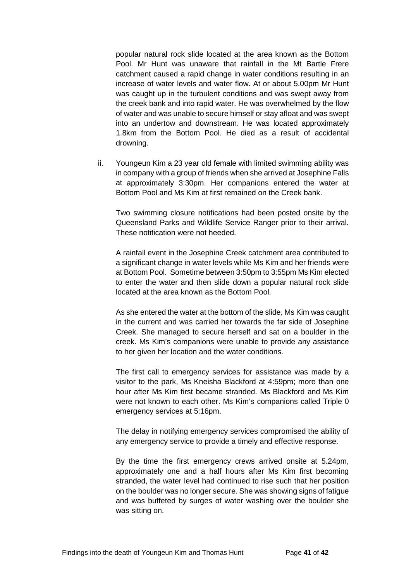popular natural rock slide located at the area known as the Bottom Pool. Mr Hunt was unaware that rainfall in the Mt Bartle Frere catchment caused a rapid change in water conditions resulting in an increase of water levels and water flow. At or about 5.00pm Mr Hunt was caught up in the turbulent conditions and was swept away from the creek bank and into rapid water. He was overwhelmed by the flow of water and was unable to secure himself or stay afloat and was swept into an undertow and downstream. He was located approximately 1.8km from the Bottom Pool. He died as a result of accidental drowning.

ii. Youngeun Kim a 23 year old female with limited swimming ability was in company with a group of friends when she arrived at Josephine Falls at approximately 3:30pm. Her companions entered the water at Bottom Pool and Ms Kim at first remained on the Creek bank.

Two swimming closure notifications had been posted onsite by the Queensland Parks and Wildlife Service Ranger prior to their arrival. These notification were not heeded.

A rainfall event in the Josephine Creek catchment area contributed to a significant change in water levels while Ms Kim and her friends were at Bottom Pool. Sometime between 3:50pm to 3:55pm Ms Kim elected to enter the water and then slide down a popular natural rock slide located at the area known as the Bottom Pool.

As she entered the water at the bottom of the slide, Ms Kim was caught in the current and was carried her towards the far side of Josephine Creek. She managed to secure herself and sat on a boulder in the creek. Ms Kim's companions were unable to provide any assistance to her given her location and the water conditions.

The first call to emergency services for assistance was made by a visitor to the park, Ms Kneisha Blackford at 4:59pm; more than one hour after Ms Kim first became stranded. Ms Blackford and Ms Kim were not known to each other. Ms Kim's companions called Triple 0 emergency services at 5:16pm.

The delay in notifying emergency services compromised the ability of any emergency service to provide a timely and effective response.

By the time the first emergency crews arrived onsite at 5.24pm, approximately one and a half hours after Ms Kim first becoming stranded, the water level had continued to rise such that her position on the boulder was no longer secure. She was showing signs of fatigue and was buffeted by surges of water washing over the boulder she was sitting on.